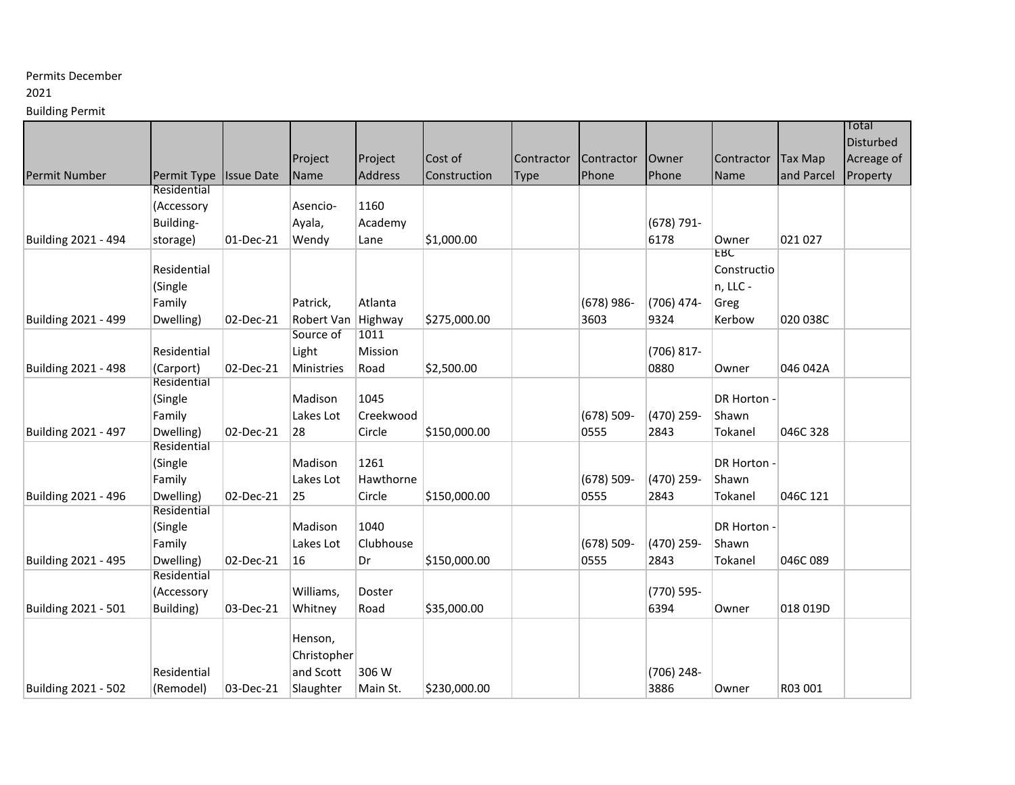# Permits December

### 2021

Building Permit

|                     |                          |                   |                                 |                |              |             |               |            |              |                | Total      |
|---------------------|--------------------------|-------------------|---------------------------------|----------------|--------------|-------------|---------------|------------|--------------|----------------|------------|
|                     |                          |                   |                                 |                |              |             |               |            |              |                | Disturbed  |
|                     |                          |                   | Project                         | Project        | Cost of      | Contractor  | Contractor    | Owner      | Contractor   | <b>Tax Map</b> | Acreage of |
| Permit Number       | Permit Type              | <b>Issue Date</b> | Name                            | <b>Address</b> | Construction | <b>Type</b> | Phone         | Phone      | Name         | and Parcel     | Property   |
|                     | Residential              |                   |                                 |                |              |             |               |            |              |                |            |
|                     | (Accessory               |                   | Asencio-                        | 1160           |              |             |               |            |              |                |            |
|                     | Building-                |                   | Ayala,                          | Academy        |              |             |               | (678) 791- |              |                |            |
|                     |                          |                   |                                 |                |              |             |               | 6178       |              | 021 027        |            |
| Building 2021 - 494 | storage)                 | 01-Dec-21         | Wendy                           | Lane           | \$1,000.00   |             |               |            | Owner<br>EBC |                |            |
|                     | Residential              |                   |                                 |                |              |             |               |            | Constructio  |                |            |
|                     | (Single                  |                   |                                 |                |              |             |               |            | n, LLC -     |                |            |
|                     |                          |                   |                                 | Atlanta        |              |             |               | (706) 474- |              |                |            |
|                     | Family                   |                   | Patrick,                        |                |              |             | $(678)$ 986-  |            | Greg         |                |            |
| Building 2021 - 499 | Dwelling)                | 02-Dec-21         | Robert Van Highway<br>Source of | 1011           | \$275,000.00 |             | 3603          | 9324       | Kerbow       | 020 038C       |            |
|                     |                          |                   |                                 |                |              |             |               |            |              |                |            |
|                     | Residential              |                   | Light                           | Mission        |              |             |               | (706) 817- |              |                |            |
| Building 2021 - 498 | (Carport)<br>Residential | 02-Dec-21         | Ministries                      | Road           | \$2,500.00   |             |               | 0880       | Owner        | 046 042A       |            |
|                     |                          |                   |                                 |                |              |             |               |            |              |                |            |
|                     | (Single                  |                   | Madison                         | 1045           |              |             |               |            | DR Horton -  |                |            |
|                     | Family                   |                   | Lakes Lot                       | Creekwood      |              |             | $(678) 509 -$ | (470) 259- | Shawn        |                |            |
| Building 2021 - 497 | Dwelling)                | 02-Dec-21         | 28                              | Circle         | \$150,000.00 |             | 0555          | 2843       | Tokanel      | 046C 328       |            |
|                     | Residential              |                   |                                 |                |              |             |               |            |              |                |            |
|                     | (Single                  |                   | Madison                         | 1261           |              |             |               |            | DR Horton -  |                |            |
|                     | Family                   |                   | Lakes Lot                       | Hawthorne      |              |             | $(678) 509 -$ | (470) 259- | Shawn        |                |            |
| Building 2021 - 496 | Dwelling)                | 02-Dec-21         | 25                              | Circle         | \$150,000.00 |             | 0555          | 2843       | Tokanel      | 046C 121       |            |
|                     | Residential              |                   |                                 |                |              |             |               |            |              |                |            |
|                     | (Single                  |                   | Madison                         | 1040           |              |             |               |            | DR Horton -  |                |            |
|                     | Family                   |                   | Lakes Lot                       | Clubhouse      |              |             | $(678) 509 -$ | (470) 259- | Shawn        |                |            |
| Building 2021 - 495 | Dwelling)                | 02-Dec-21         | 16                              | Dr             | \$150,000.00 |             | 0555          | 2843       | Tokanel      | 046C 089       |            |
|                     | Residential              |                   |                                 |                |              |             |               |            |              |                |            |
|                     | (Accessory               |                   | Williams,                       | Doster         |              |             |               | (770) 595- |              |                |            |
| Building 2021 - 501 | Building)                | 03-Dec-21         | Whitney                         | Road           | \$35,000.00  |             |               | 6394       | Owner        | 018 019D       |            |
|                     |                          |                   |                                 |                |              |             |               |            |              |                |            |
|                     |                          |                   | Henson,                         |                |              |             |               |            |              |                |            |
|                     |                          |                   | Christopher                     |                |              |             |               |            |              |                |            |
|                     | Residential              |                   | and Scott                       | 306 W          |              |             |               | (706) 248- |              |                |            |
| Building 2021 - 502 | (Remodel)                | 03-Dec-21         | Slaughter                       | Main St.       | \$230,000.00 |             |               | 3886       | Owner        | R03 001        |            |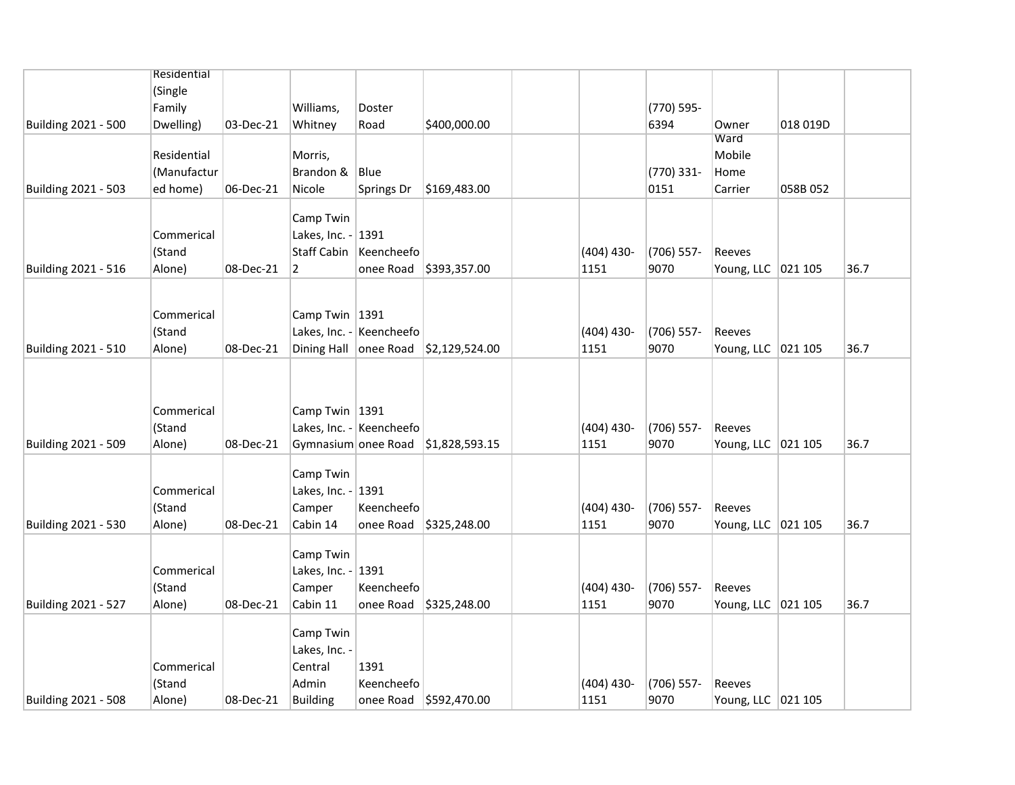|                     | Residential |           |                       |                          |                                    |              |               |                      |          |      |
|---------------------|-------------|-----------|-----------------------|--------------------------|------------------------------------|--------------|---------------|----------------------|----------|------|
|                     | (Single     |           |                       |                          |                                    |              |               |                      |          |      |
|                     | Family      |           | Williams,             | Doster                   |                                    |              | (770) 595-    |                      |          |      |
| Building 2021 - 500 |             | 03-Dec-21 |                       | Road                     | \$400,000.00                       |              | 6394          | Owner                | 018 019D |      |
|                     | Dwelling)   |           | Whitney               |                          |                                    |              |               | Ward                 |          |      |
|                     | Residential |           | Morris,               |                          |                                    |              |               | Mobile               |          |      |
|                     | (Manufactur |           | Brandon &             | Blue                     |                                    |              | (770) 331-    | Home                 |          |      |
| Building 2021 - 503 | ed home)    | 06-Dec-21 | Nicole                | Springs Dr               | \$169,483.00                       |              | 0151          | Carrier              | 058B 052 |      |
|                     |             |           |                       |                          |                                    |              |               |                      |          |      |
|                     |             |           | Camp Twin             |                          |                                    |              |               |                      |          |      |
|                     | Commerical  |           | Lakes, Inc. - 1391    |                          |                                    |              |               |                      |          |      |
|                     | (Stand      |           | <b>Staff Cabin</b>    | Keencheefo               |                                    | $(404)$ 430- | $(706)$ 557-  | Reeves               |          |      |
| Building 2021 - 516 | Alone)      | 08-Dec-21 | $\overline{2}$        |                          | onee Road \$393,357.00             | 1151         | 9070          | Young, LLC   021 105 |          | 36.7 |
|                     |             |           |                       |                          |                                    |              |               |                      |          |      |
|                     |             |           |                       |                          |                                    |              |               |                      |          |      |
|                     | Commerical  |           | Camp Twin 1391        |                          |                                    |              |               |                      |          |      |
|                     | (Stand      |           |                       | Lakes, Inc. - Keencheefo |                                    | $(404)$ 430- | $(706)$ 557-  | Reeves               |          |      |
| Building 2021 - 510 | Alone)      | 08-Dec-21 | Dining Hall onee Road |                          | \$2,129,524.00                     | 1151         | 9070          | Young, LLC   021 105 |          | 36.7 |
|                     |             |           |                       |                          |                                    |              |               |                      |          |      |
|                     |             |           |                       |                          |                                    |              |               |                      |          |      |
|                     |             |           |                       |                          |                                    |              |               |                      |          |      |
|                     | Commerical  |           | Camp Twin 1391        |                          |                                    |              |               |                      |          |      |
|                     | (Stand      |           |                       | Lakes, Inc. - Keencheefo |                                    | $(404)$ 430- | $(706)$ 557-  | Reeves               |          |      |
| Building 2021 - 509 | Alone)      | 08-Dec-21 |                       |                          | Gymnasium onee Road \$1,828,593.15 | 1151         | 9070          | Young, LLC 021 105   |          | 36.7 |
|                     |             |           |                       |                          |                                    |              |               |                      |          |      |
|                     |             |           | Camp Twin             |                          |                                    |              |               |                      |          |      |
|                     | Commerical  |           | Lakes, Inc. -         | 1391                     |                                    |              |               |                      |          |      |
|                     | (Stand      |           | Camper                | Keencheefo               |                                    | $(404)$ 430- | $(706) 557 -$ | Reeves               |          |      |
| Building 2021 - 530 | Alone)      | 08-Dec-21 | Cabin 14              | onee Road                | \$325,248.00                       | 1151         | 9070          | Young, LLC   021 105 |          | 36.7 |
|                     |             |           |                       |                          |                                    |              |               |                      |          |      |
|                     |             |           | Camp Twin             |                          |                                    |              |               |                      |          |      |
|                     | Commerical  |           | Lakes, Inc. -         | 1391                     |                                    |              |               |                      |          |      |
|                     | (Stand      |           | Camper                | Keencheefo               |                                    | $(404)$ 430- | $(706)$ 557-  | Reeves               |          |      |
| Building 2021 - 527 | Alone)      | 08-Dec-21 | Cabin 11              | onee Road                | \$325,248.00                       | 1151         | 9070          | Young, LLC 021 105   |          | 36.7 |
|                     |             |           | Camp Twin             |                          |                                    |              |               |                      |          |      |
|                     |             |           |                       |                          |                                    |              |               |                      |          |      |
|                     |             |           | Lakes, Inc. -         |                          |                                    |              |               |                      |          |      |
|                     | Commerical  |           | Central               | 1391                     |                                    |              |               |                      |          |      |
|                     | (Stand      |           | Admin                 | Keencheefo               |                                    | $(404)$ 430- | $(706) 557 -$ | Reeves               |          |      |
| Building 2021 - 508 | Alone)      | 08-Dec-21 | <b>Building</b>       |                          | onee Road \$592,470.00             | 1151         | 9070          | Young, LLC 021 105   |          |      |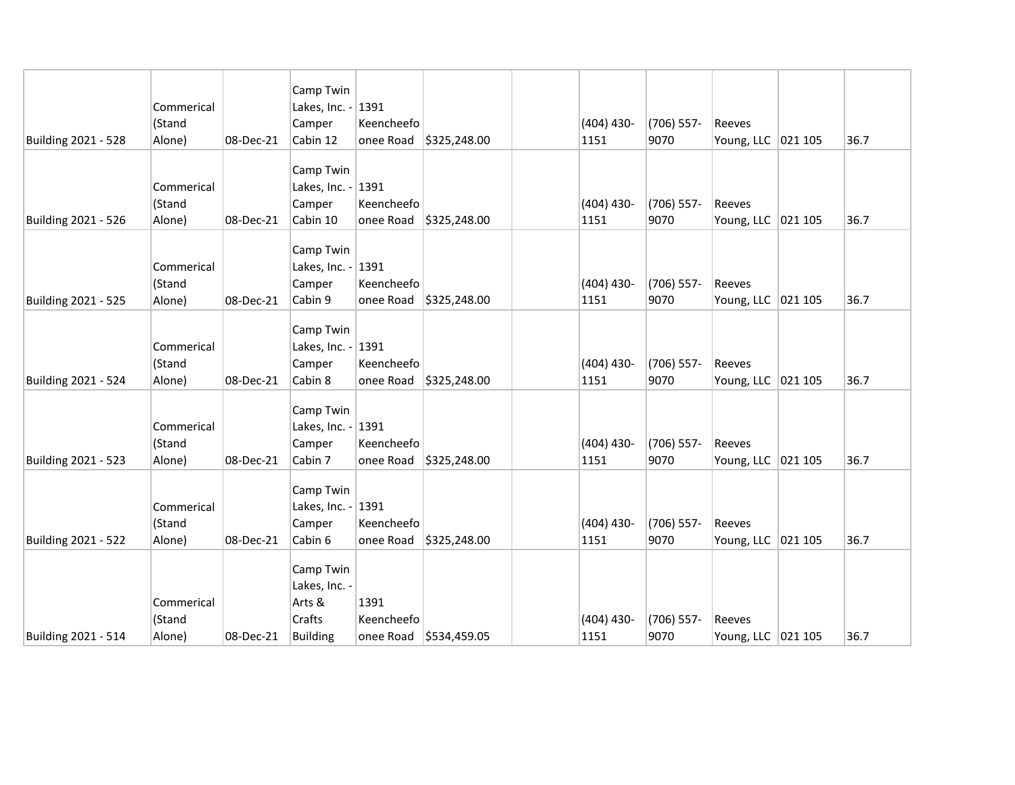|                     |                      |           | Camp Twin                    |            |                                |              |              |                      |      |
|---------------------|----------------------|-----------|------------------------------|------------|--------------------------------|--------------|--------------|----------------------|------|
|                     | Commerical<br>(Stand |           | Lakes, Inc. - 1391<br>Camper | Keencheefo |                                | $(404)$ 430- | $(706)$ 557- | Reeves               |      |
| Building 2021 - 528 | Alone)               | 08-Dec-21 | Cabin 12                     |            | onee Road $\vert$ \$325,248.00 | 1151         | 9070         |                      | 36.7 |
|                     |                      |           |                              |            |                                |              |              | Young, LLC 021 105   |      |
|                     |                      |           | Camp Twin                    |            |                                |              |              |                      |      |
|                     | Commerical           |           | Lakes, Inc. -                | 1391       |                                |              |              |                      |      |
|                     | (Stand               |           | Camper                       | Keencheefo |                                | $(404)$ 430- | (706) 557-   | Reeves               |      |
| Building 2021 - 526 | Alone)               | 08-Dec-21 | Cabin 10                     | onee Road  | \$325,248.00                   | 1151         | 9070         | Young, LLC 021 105   | 36.7 |
|                     |                      |           | Camp Twin                    |            |                                |              |              |                      |      |
|                     | Commerical           |           | Lakes, Inc. - 1391           |            |                                |              |              |                      |      |
|                     | (Stand               |           | Camper                       | Keencheefo |                                | $(404)$ 430- | (706) 557-   | Reeves               |      |
| Building 2021 - 525 | Alone)               | 08-Dec-21 | Cabin 9                      | onee Road  | \$325,248.00                   | 1151         | 9070         | Young, LLC   021 105 | 36.7 |
|                     |                      |           |                              |            |                                |              |              |                      |      |
|                     |                      |           | Camp Twin                    |            |                                |              |              |                      |      |
|                     | Commerical           |           | Lakes, Inc. - 1391           |            |                                |              |              |                      |      |
|                     | (Stand               |           | Camper                       | Keencheefo |                                | $(404)$ 430- | $(706)$ 557- | Reeves               |      |
| Building 2021 - 524 | Alone)               | 08-Dec-21 | Cabin 8                      | onee Road  | \$325,248.00                   | 1151         | 9070         | Young, LLC 021 105   | 36.7 |
|                     |                      |           | Camp Twin                    |            |                                |              |              |                      |      |
|                     | Commerical           |           | Lakes, Inc. - 1391           |            |                                |              |              |                      |      |
|                     | (Stand               |           | Camper                       | Keencheefo |                                | $(404)$ 430- | $(706)$ 557- | Reeves               |      |
| Building 2021 - 523 | Alone)               | 08-Dec-21 | Cabin 7                      | onee Road  | \$325,248.00                   | 1151         | 9070         | Young, LLC 021 105   | 36.7 |
|                     |                      |           |                              |            |                                |              |              |                      |      |
|                     |                      |           | Camp Twin                    |            |                                |              |              |                      |      |
|                     | Commerical           |           | Lakes, Inc. - 1391<br>Camper | Keencheefo |                                | $(404)$ 430- | (706) 557-   | Reeves               |      |
| Building 2021 - 522 | (Stand<br>Alone)     | 08-Dec-21 | Cabin 6                      | onee Road  | \$325,248.00                   | 1151         | 9070         | Young, LLC   021 105 | 36.7 |
|                     |                      |           |                              |            |                                |              |              |                      |      |
|                     |                      |           | Camp Twin                    |            |                                |              |              |                      |      |
|                     |                      |           | Lakes, Inc. -                |            |                                |              |              |                      |      |
|                     | Commerical           |           | Arts &                       | 1391       |                                |              |              |                      |      |
|                     | (Stand               |           | Crafts                       | Keencheefo |                                | $(404)$ 430- | (706) 557-   | Reeves               |      |
| Building 2021 - 514 | Alone)               | 08-Dec-21 | <b>Building</b>              |            | onee Road \$534,459.05         | 1151         | 9070         | Young, LLC   021 105 | 36.7 |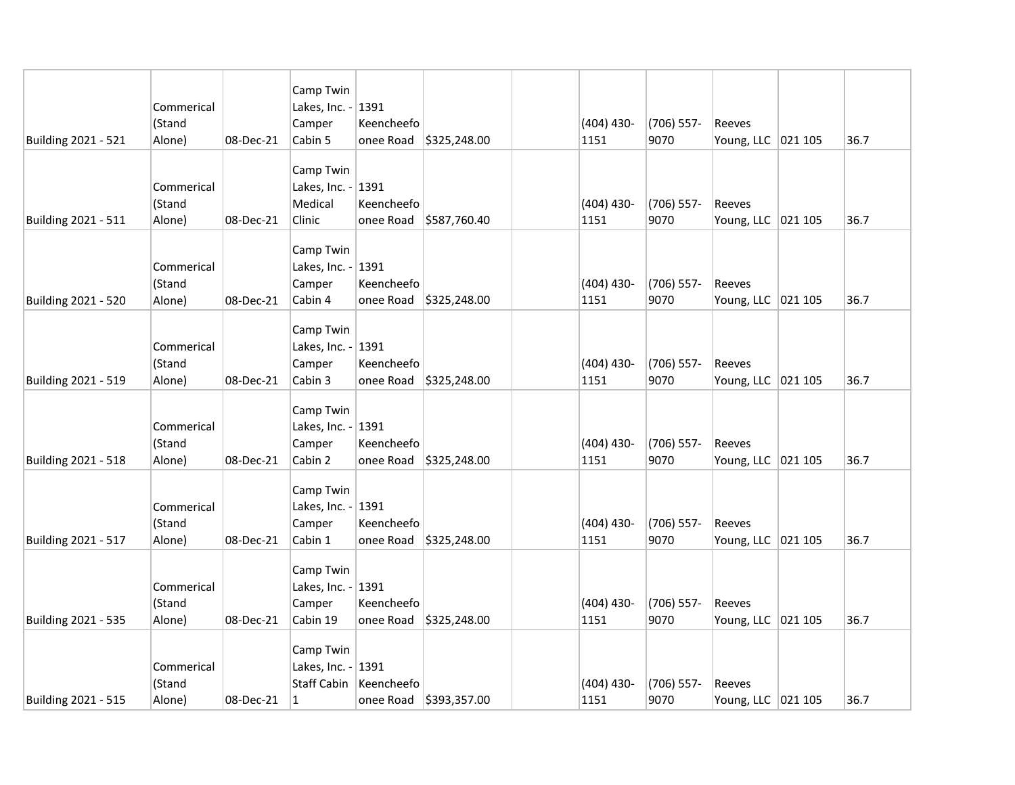|                            |            |           | Camp Twin          |                          |                        |                      |                      |                      |      |
|----------------------------|------------|-----------|--------------------|--------------------------|------------------------|----------------------|----------------------|----------------------|------|
|                            | Commerical |           | Lakes, Inc. -      | 1391                     |                        |                      |                      |                      |      |
|                            | (Stand     |           | Camper             | Keencheefo               |                        | $(404)$ 430-         | $(706)$ 557-         | Reeves               |      |
| Building 2021 - 521        | Alone)     | 08-Dec-21 | Cabin 5            | onee Road                | \$325,248.00           | 1151                 | 9070                 | Young, LLC   021 105 | 36.7 |
|                            |            |           |                    |                          |                        |                      |                      |                      |      |
|                            |            |           | Camp Twin          |                          |                        |                      |                      |                      |      |
|                            | Commerical |           | Lakes, Inc. - 1391 |                          |                        |                      |                      |                      |      |
|                            | (Stand     |           | Medical            | Keencheefo               |                        | $(404)$ 430-         | $(706)$ 557-<br>9070 | Reeves               |      |
| Building 2021 - 511        | Alone)     | 08-Dec-21 | Clinic             | onee Road                | \$587,760.40           | 1151                 |                      | Young, LLC   021 105 | 36.7 |
|                            |            |           | Camp Twin          |                          |                        |                      |                      |                      |      |
|                            | Commerical |           | Lakes, Inc. - 1391 |                          |                        |                      |                      |                      |      |
|                            | (Stand     |           | Camper             | Keencheefo               |                        | $(404)$ 430-         | $(706)$ 557-         | Reeves               |      |
| Building 2021 - 520        | Alone)     | 08-Dec-21 | Cabin 4            | onee Road                | \$325,248.00           | 1151                 | 9070                 | Young, LLC 021 105   | 36.7 |
|                            |            |           |                    |                          |                        |                      |                      |                      |      |
|                            |            |           | Camp Twin          |                          |                        |                      |                      |                      |      |
|                            | Commerical |           | Lakes, Inc. -      | 1391                     |                        |                      |                      |                      |      |
|                            | (Stand     |           | Camper             | Keencheefo               |                        | $(404)$ 430-         | (706) 557-           | Reeves               |      |
| Building 2021 - 519        | Alone)     | 08-Dec-21 | Cabin 3            | onee Road                | \$325,248.00           | 1151                 | 9070                 | Young, LLC   021 105 | 36.7 |
|                            |            |           | Camp Twin          |                          |                        |                      |                      |                      |      |
|                            | Commerical |           | Lakes, Inc. - 1391 |                          |                        |                      |                      |                      |      |
|                            | (Stand     |           | Camper             | Keencheefo               |                        | $(404)$ 430-         | $(706)$ 557-         | <b>Reeves</b>        |      |
| Building 2021 - 518        | Alone)     | 08-Dec-21 | Cabin 2            | onee Road                | \$325,248.00           | 1151                 | 9070                 | Young, LLC   021 105 | 36.7 |
|                            |            |           |                    |                          |                        |                      |                      |                      |      |
|                            |            |           | Camp Twin          |                          |                        |                      |                      |                      |      |
|                            | Commerical |           | Lakes, Inc. - 1391 |                          |                        |                      |                      |                      |      |
| <b>Building 2021 - 517</b> | (Stand     |           | Camper<br>Cabin 1  | Keencheefo               | \$325,248.00           | $(404)$ 430-<br>1151 | $(706)$ 557-<br>9070 | Reeves               | 36.7 |
|                            | Alone)     | 08-Dec-21 |                    | onee Road                |                        |                      |                      | Young, LLC   021 105 |      |
|                            |            |           | Camp Twin          |                          |                        |                      |                      |                      |      |
|                            | Commerical |           | Lakes, Inc. -      | 1391                     |                        |                      |                      |                      |      |
|                            | (Stand     |           | Camper             | Keencheefo               |                        | $(404)$ 430-         | $(706)$ 557-         | Reeves               |      |
| Building 2021 - 535        | Alone)     | 08-Dec-21 | Cabin 19           | onee Road                | \$325,248.00           | 1151                 | 9070                 | Young, LLC 021 105   | 36.7 |
|                            |            |           |                    |                          |                        |                      |                      |                      |      |
|                            |            |           | Camp Twin          |                          |                        |                      |                      |                      |      |
|                            | Commerical |           | Lakes, Inc. - 1391 |                          |                        |                      |                      |                      |      |
|                            | (Stand     |           |                    | Staff Cabin   Keencheefo |                        | $(404)$ 430-         | (706) 557-<br>9070   | Reeves               |      |
| Building 2021 - 515        | Alone)     | 08-Dec-21 | $\mathbf{1}$       |                          | onee Road \$393,357.00 | 1151                 |                      | Young, LLC 021 105   | 36.7 |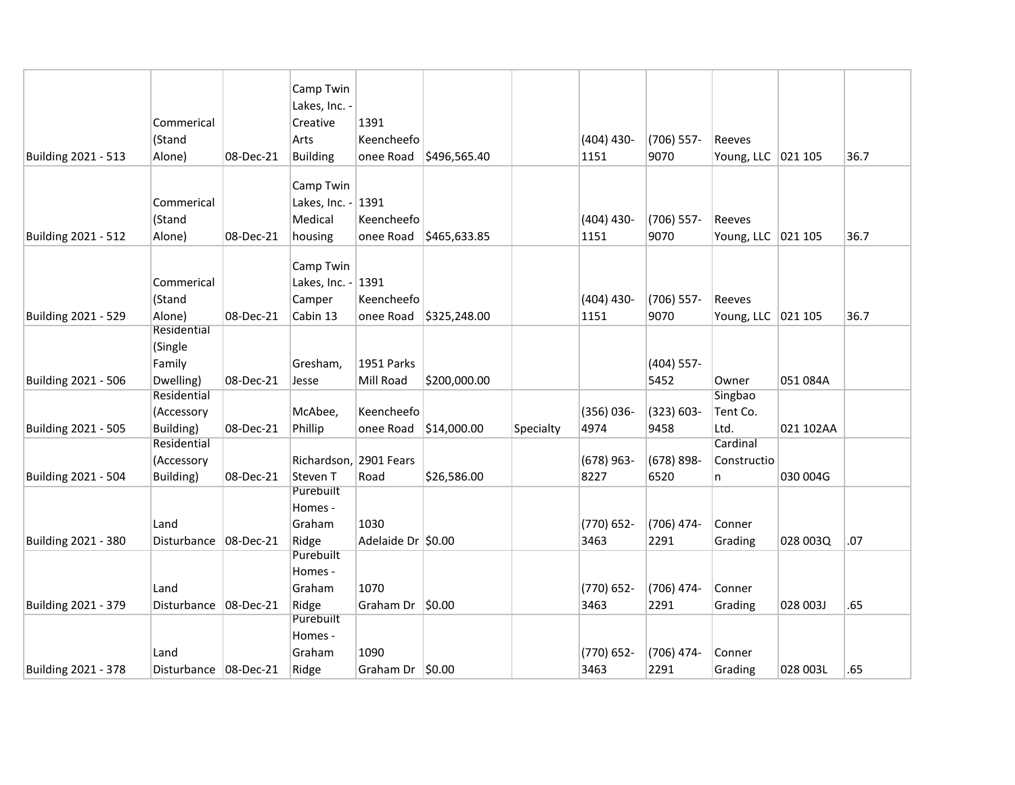|                     |                         |                   | Camp Twin<br>Lakes, Inc. - |                    |                          |           |               |               |                      |           |      |
|---------------------|-------------------------|-------------------|----------------------------|--------------------|--------------------------|-----------|---------------|---------------|----------------------|-----------|------|
|                     | Commerical              |                   | Creative                   | 1391               |                          |           |               |               |                      |           |      |
|                     | (Stand                  |                   | Arts                       | Keencheefo         |                          |           | $(404)$ 430-  | $(706)$ 557-  | Reeves               |           |      |
| Building 2021 - 513 | Alone)                  | 08-Dec-21         | <b>Building</b>            | onee Road          | \$496,565.40             |           | 1151          | 9070          | Young, LLC 021 105   |           | 36.7 |
|                     |                         |                   |                            |                    |                          |           |               |               |                      |           |      |
|                     |                         |                   | Camp Twin                  |                    |                          |           |               |               |                      |           |      |
|                     | Commerical              |                   | Lakes, Inc. -              | 1391               |                          |           |               |               |                      |           |      |
|                     | (Stand                  |                   | Medical                    | Keencheefo         |                          |           | $(404)$ 430-  | $(706)$ 557-  | Reeves               |           |      |
| Building 2021 - 512 | Alone)                  | 08-Dec-21         | housing                    | onee Road          | \$465,633.85             |           | 1151          | 9070          | Young, LLC   021 105 |           | 36.7 |
|                     |                         |                   |                            |                    |                          |           |               |               |                      |           |      |
|                     |                         |                   | Camp Twin                  |                    |                          |           |               |               |                      |           |      |
|                     | Commerical              |                   | Lakes, Inc. - 1391         |                    |                          |           |               |               |                      |           |      |
|                     | (Stand                  |                   | Camper                     | Keencheefo         |                          |           | $(404)$ 430-  | (706) 557-    | Reeves               |           |      |
| Building 2021 - 529 | Alone)                  | 08-Dec-21         | Cabin 13                   |                    | onee Road   \$325,248.00 |           | 1151          | 9070          | Young, LLC 021 105   |           | 36.7 |
|                     | Residential             |                   |                            |                    |                          |           |               |               |                      |           |      |
|                     | (Single                 |                   |                            |                    |                          |           |               |               |                      |           |      |
|                     | Family                  |                   | Gresham,                   | 1951 Parks         |                          |           |               | $(404)$ 557-  |                      |           |      |
| Building 2021 - 506 | Dwelling)               | 08-Dec-21         | Jesse                      | Mill Road          | \$200,000.00             |           |               | 5452          | Owner                | 051 084A  |      |
|                     | Residential             |                   |                            |                    |                          |           |               |               | Singbao              |           |      |
|                     | (Accessory              |                   | McAbee,                    | Keencheefo         |                          |           | $(356) 036 -$ | $(323) 603 -$ | Tent Co.             |           |      |
| Building 2021 - 505 | Building)               | 08-Dec-21         | Phillip                    | onee Road          | \$14,000.00              | Specialty | 4974          | 9458          | Ltd.                 | 021 102AA |      |
|                     | Residential             |                   |                            |                    |                          |           |               |               | Cardinal             |           |      |
|                     | (Accessory              |                   | Richardson, 2901 Fears     |                    |                          |           | $(678)$ 963-  | $(678) 898 -$ | Constructio          |           |      |
| Building 2021 - 504 | Building)               | 08-Dec-21         | Steven T<br>Purebuilt      | Road               | \$26,586.00              |           | 8227          | 6520          | n                    | 030 004G  |      |
|                     |                         |                   | Homes -                    |                    |                          |           |               |               |                      |           |      |
|                     | Land                    |                   | Graham                     | 1030               |                          |           | (770) 652-    | (706) 474-    | Conner               |           |      |
| Building 2021 - 380 | Disturbance             | $ 08 - Dec - 21 $ | Ridge                      | Adelaide Dr \$0.00 |                          |           | 3463          | 2291          | Grading              | 028 003Q  | .07  |
|                     |                         |                   | Purebuilt                  |                    |                          |           |               |               |                      |           |      |
|                     |                         |                   | Homes -                    |                    |                          |           |               |               |                      |           |      |
|                     | Land                    |                   | Graham                     | 1070               |                          |           | (770) 652-    | (706) 474-    | Conner               |           |      |
| Building 2021 - 379 | Disturbance             | 08-Dec-21         | Ridge                      | Graham Dr          | \$0.00                   |           | 3463          | 2291          | Grading              | 028 003J  | .65  |
|                     |                         |                   | Purebuilt                  |                    |                          |           |               |               |                      |           |      |
|                     |                         |                   | Homes -                    |                    |                          |           |               |               |                      |           |      |
|                     | Land                    |                   | Graham                     | 1090               |                          |           | (770) 652-    | (706) 474-    | Conner               |           |      |
| Building 2021 - 378 | Disturbance   08-Dec-21 |                   | Ridge                      | Graham Dr $ $0.00$ |                          |           | 3463          | 2291          | Grading              | 028 003L  | .65  |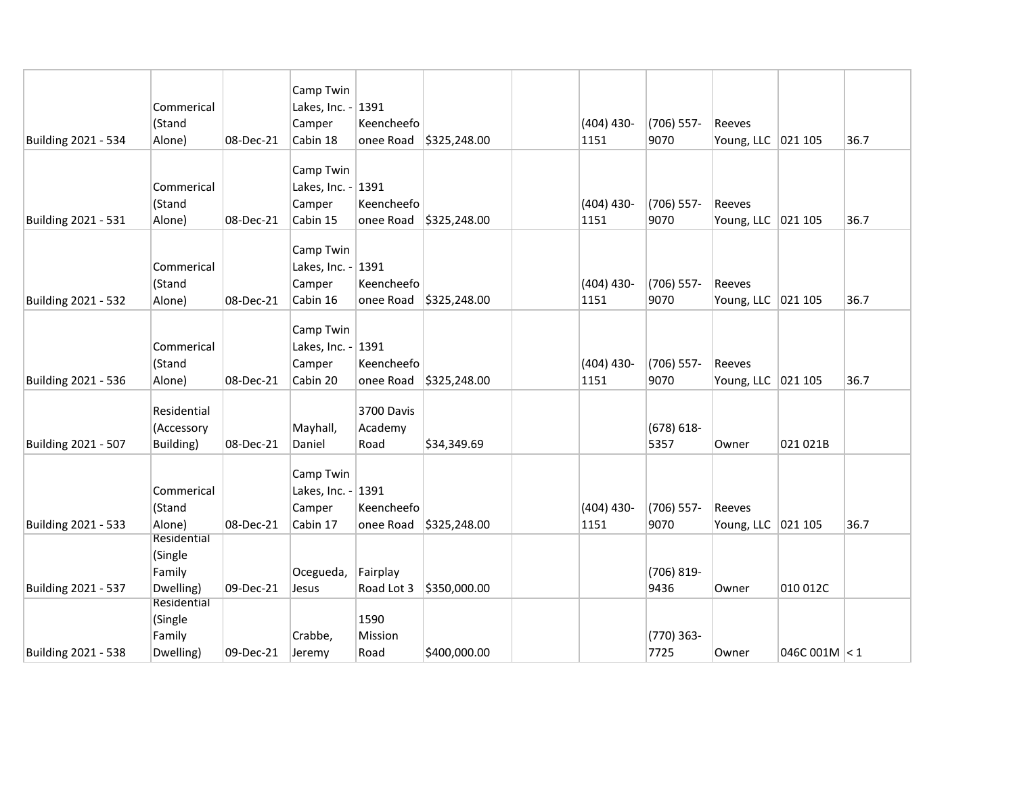| Building 2021 - 534 | Commerical<br>(Stand<br>Alone)                | 08-Dec-21 | Camp Twin<br>Lakes, Inc. - 1391<br>Camper<br>Cabin 18 | Keencheefo<br>onee Road       | \$325,248.00           | $(404)$ 430-<br>1151 | $(706)$ 557-<br>9070  | Reeves<br>Young, LLC   021 105 |               | 36.7 |
|---------------------|-----------------------------------------------|-----------|-------------------------------------------------------|-------------------------------|------------------------|----------------------|-----------------------|--------------------------------|---------------|------|
| Building 2021 - 531 | Commerical<br>(Stand<br>Alone)                | 08-Dec-21 | Camp Twin<br>Lakes, Inc. - 1391<br>Camper<br>Cabin 15 | Keencheefo                    | onee Road \$325,248.00 | $(404)$ 430-<br>1151 | $(706)$ 557-<br>9070  | Reeves<br>Young, LLC 021 105   |               | 36.7 |
| Building 2021 - 532 | Commerical<br>(Stand<br>Alone)                | 08-Dec-21 | Camp Twin<br>Lakes, Inc. - 1391<br>Camper<br>Cabin 16 | Keencheefo                    | onee Road \$325,248.00 | $(404)$ 430-<br>1151 | $(706)$ 557-<br>9070  | Reeves<br>Young, LLC   021 105 |               | 36.7 |
| Building 2021 - 536 | Commerical<br>(Stand<br>Alone)                | 08-Dec-21 | Camp Twin<br>Lakes, Inc. - 1391<br>Camper<br>Cabin 20 | Keencheefo                    | onee Road \$325,248.00 | $(404)$ 430-<br>1151 | $(706)$ 557-<br>9070  | Reeves<br>Young, LLC   021 105 |               | 36.7 |
| Building 2021 - 507 | Residential<br>(Accessory<br>Building)        | 08-Dec-21 | Mayhall,<br>Daniel                                    | 3700 Davis<br>Academy<br>Road | \$34,349.69            |                      | $(678) 618 -$<br>5357 | Owner                          | 021 021B      |      |
| Building 2021 - 533 | Commerical<br>(Stand<br>Alone)                | 08-Dec-21 | Camp Twin<br>Lakes, Inc. - 1391<br>Camper<br>Cabin 17 | Keencheefo<br>onee Road       | \$325,248.00           | $(404)$ 430-<br>1151 | $(706)$ 557-<br>9070  | Reeves<br>Young, LLC 021 105   |               | 36.7 |
| Building 2021 - 537 | Residential<br>(Single<br>Family<br>Dwelling) | 09-Dec-21 | Ocegueda,<br>Jesus                                    | Fairplay<br>Road Lot 3        | \$350,000.00           |                      | (706) 819-<br>9436    | Owner                          | 010 012C      |      |
| Building 2021 - 538 | Residential<br>(Single<br>Family<br>Dwelling) | 09-Dec-21 | Crabbe,<br>Jeremy                                     | 1590<br>Mission<br>Road       | \$400,000.00           |                      | (770) 363-<br>7725    | Owner                          | 046C 001M < 1 |      |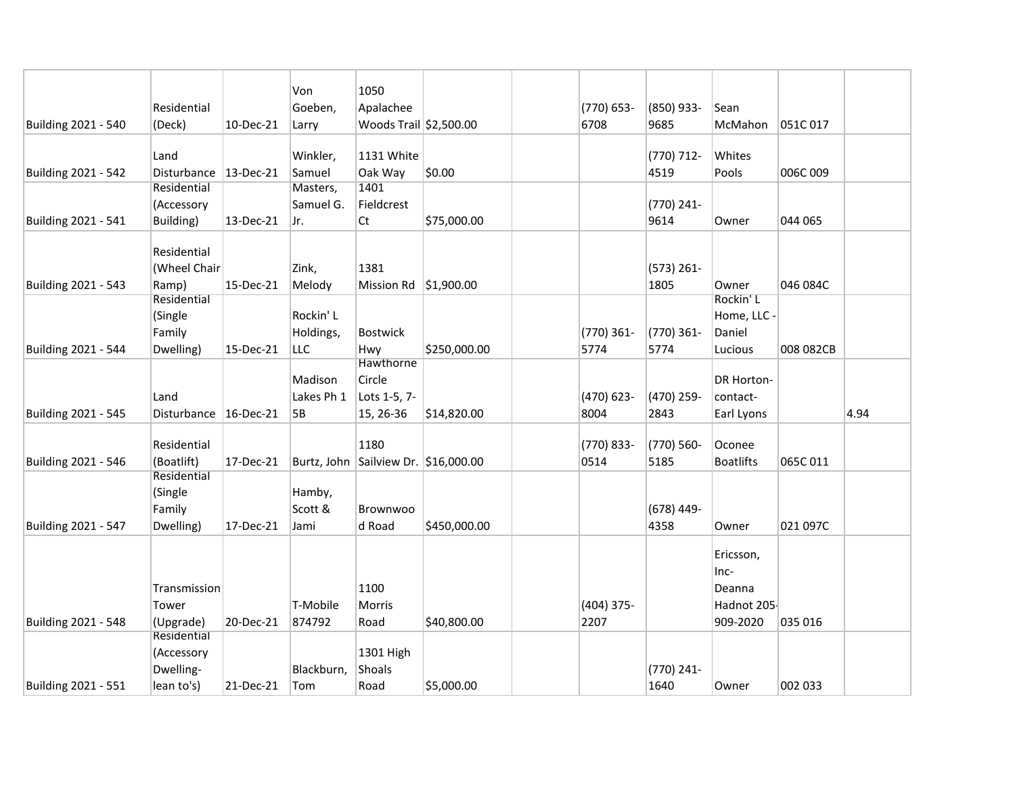|                            |                          |              | Von        | 1050                                 |              |               |               |                    |           |      |
|----------------------------|--------------------------|--------------|------------|--------------------------------------|--------------|---------------|---------------|--------------------|-----------|------|
|                            | Residential              |              | Goeben,    | Apalachee                            |              | $(770) 653 -$ | (850) 933-    | Sean               |           |      |
| Building 2021 - 540        | (Deck)                   | 10-Dec-21    | Larry      | Woods Trail \$2,500.00               |              | 6708          | 9685          | McMahon            | 051C 017  |      |
|                            |                          |              |            |                                      |              |               |               |                    |           |      |
|                            | Land                     |              | Winkler,   | 1131 White                           |              |               | (770) 712-    | Whites             |           |      |
| Building 2021 - 542        | Disturbance   13-Dec-21  |              | Samuel     | Oak Way                              | \$0.00       |               | 4519          | Pools              | 006C 009  |      |
|                            | Residential              |              | Masters,   | 1401                                 |              |               |               |                    |           |      |
|                            | (Accessory               |              | Samuel G.  | Fieldcrest                           |              |               | (770) 241-    |                    |           |      |
| Building 2021 - 541        | Building)                | 13-Dec-21    | Jr.        | Ct                                   | \$75,000.00  |               | 9614          | Owner              | 044 065   |      |
|                            |                          |              |            |                                      |              |               |               |                    |           |      |
|                            | Residential              |              |            |                                      |              |               |               |                    |           |      |
|                            | (Wheel Chair             |              | Zink,      | 1381                                 |              |               | $(573) 261 -$ |                    |           |      |
| <b>Building 2021 - 543</b> | Ramp)<br>Residential     | 15-Dec-21    | Melody     | Mission Rd                           | \$1,900.00   |               | 1805          | Owner<br>Rockin' L | 046 084C  |      |
|                            | (Single                  |              | Rockin' L  |                                      |              |               |               | Home, LLC -        |           |      |
|                            |                          |              |            |                                      |              |               |               | Daniel             |           |      |
|                            | Family                   |              | Holdings,  | <b>Bostwick</b>                      |              | $(770)$ 361-  | $(770)$ 361-  |                    |           |      |
| Building 2021 - 544        | Dwelling)                | 15-Dec-21    | LLC        | Hwy<br>Hawthorne                     | \$250,000.00 | 5774          | 5774          | Lucious            | 008 082CB |      |
|                            |                          |              | Madison    | Circle                               |              |               |               | DR Horton-         |           |      |
|                            | Land                     |              | Lakes Ph 1 | Lots 1-5, 7-                         |              | (470) 623-    | (470) 259-    | contact-           |           |      |
| Building 2021 - 545        | Disturbance              | $16$ -Dec-21 | <b>5B</b>  | 15, 26-36                            | \$14,820.00  | 8004          | 2843          | Earl Lyons         |           | 4.94 |
|                            |                          |              |            |                                      |              |               |               |                    |           |      |
|                            | Residential              |              |            | 1180                                 |              | (770) 833-    | $(770) 560 -$ | Oconee             |           |      |
| Building 2021 - 546        | (Boatlift)               | 17-Dec-21    |            | Burtz, John Sailview Dr. \$16,000.00 |              | 0514          | 5185          | <b>Boatlifts</b>   | 065C 011  |      |
|                            | Residential              |              |            |                                      |              |               |               |                    |           |      |
|                            | (Single                  |              | Hamby,     |                                      |              |               |               |                    |           |      |
|                            | Family                   |              | Scott &    | Brownwoo                             |              |               | (678) 449-    |                    |           |      |
| Building 2021 - 547        | Dwelling)                | 17-Dec-21    | Jami       | d Road                               | \$450,000.00 |               | 4358          | Owner              | 021 097C  |      |
|                            |                          |              |            |                                      |              |               |               | Ericsson,          |           |      |
|                            |                          |              |            |                                      |              |               |               |                    |           |      |
|                            |                          |              |            |                                      |              |               |               | $Inc-$             |           |      |
|                            | Transmission             |              |            | 1100                                 |              |               |               | Deanna             |           |      |
|                            | Tower                    |              | T-Mobile   | Morris                               |              | $(404)$ 375-  |               | Hadnot 205-        |           |      |
| Building 2021 - 548        | (Upgrade)<br>Residential | 20-Dec-21    | 874792     | Road                                 | \$40,800.00  | 2207          |               | 909-2020           | 035 016   |      |
|                            | (Accessory               |              |            | 1301 High                            |              |               |               |                    |           |      |
|                            | Dwelling-                |              | Blackburn, | Shoals                               |              |               | (770) 241-    |                    |           |      |
|                            |                          | 21-Dec-21    |            | Road                                 |              |               | 1640          |                    | 002 033   |      |
| Building 2021 - 551        | lean to's)               |              | Tom        |                                      | \$5,000.00   |               |               | Owner              |           |      |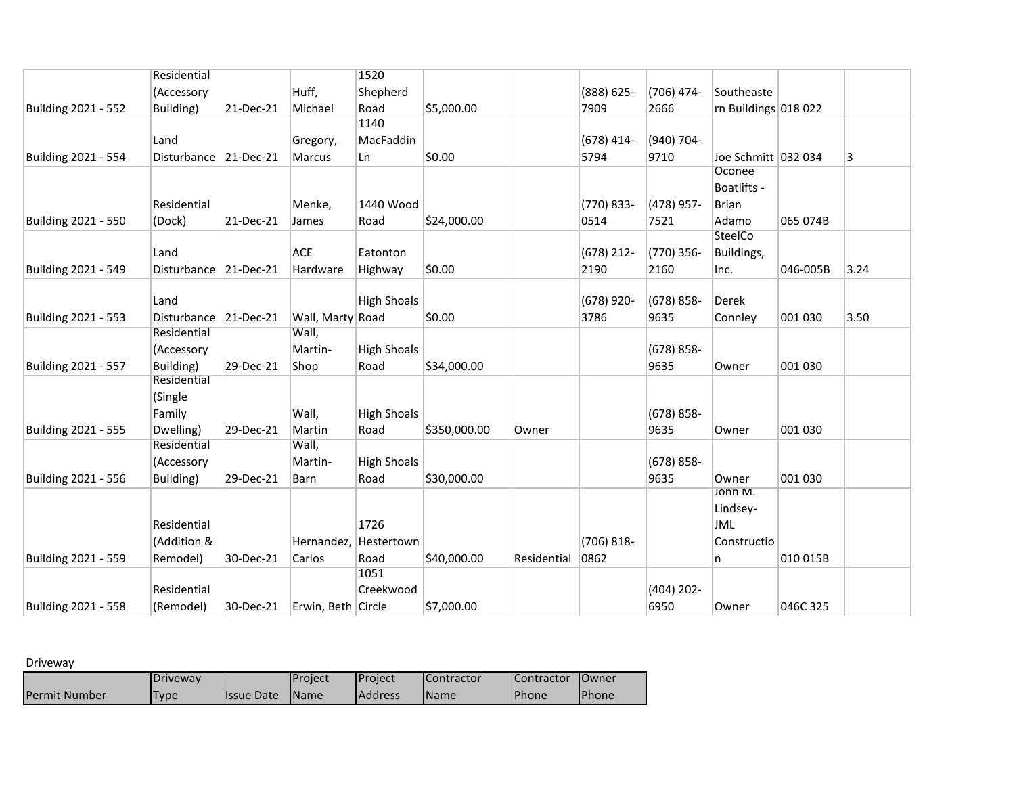|                     | Residential           |           |                    | 1520                  |              |             |               |               |                       |          |      |
|---------------------|-----------------------|-----------|--------------------|-----------------------|--------------|-------------|---------------|---------------|-----------------------|----------|------|
|                     | (Accessory            |           | Huff,              | Shepherd              |              |             | $(888) 625 -$ | $(706)$ 474-  | Southeaste            |          |      |
| Building 2021 - 552 | Building)             | 21-Dec-21 | Michael            | Road                  | \$5,000.00   |             | 7909          | 2666          | rn Buildings 018 022  |          |      |
|                     |                       |           |                    | 1140                  |              |             |               |               |                       |          |      |
|                     | Land                  |           | Gregory,           | MacFaddin             |              |             | $(678)$ 414-  | (940) 704-    |                       |          |      |
| Building 2021 - 554 | Disturbance 21-Dec-21 |           | Marcus             | Ln                    | \$0.00       |             | 5794          | 9710          | Joe Schmitt   032 034 |          | 3    |
|                     |                       |           |                    |                       |              |             |               |               | Oconee                |          |      |
|                     |                       |           |                    |                       |              |             |               |               | Boatlifts -           |          |      |
|                     | Residential           |           | Menke,             | 1440 Wood             |              |             | (770) 833-    | (478) 957-    | <b>Brian</b>          |          |      |
| Building 2021 - 550 | (Dock)                | 21-Dec-21 | James              | Road                  | \$24,000.00  |             | 0514          | 7521          | Adamo                 | 065 074B |      |
|                     |                       |           |                    |                       |              |             |               |               | SteelCo               |          |      |
|                     | Land                  |           | ACE                | Eatonton              |              |             | $(678)$ 212-  | (770) 356-    | Buildings,            |          |      |
| Building 2021 - 549 | Disturbance 21-Dec-21 |           | Hardware           | Highway               | \$0.00       |             | 2190          | 2160          | Inc.                  | 046-005B | 3.24 |
|                     |                       |           |                    |                       |              |             |               |               |                       |          |      |
|                     | Land                  |           |                    | <b>High Shoals</b>    |              |             | (678) 920-    | $(678) 858 -$ | Derek                 |          |      |
| Building 2021 - 553 | Disturbance 21-Dec-21 |           | Wall, Marty Road   |                       | \$0.00       |             | 3786          | 9635          | Connley               | 001 030  | 3.50 |
|                     | Residential           |           | Wall,              |                       |              |             |               |               |                       |          |      |
|                     | (Accessory            |           | Martin-            | <b>High Shoals</b>    |              |             |               | $(678) 858 -$ |                       |          |      |
| Building 2021 - 557 | Building)             | 29-Dec-21 | Shop               | Road                  | \$34,000.00  |             |               | 9635          | Owner                 | 001 030  |      |
|                     | Residential           |           |                    |                       |              |             |               |               |                       |          |      |
|                     | (Single               |           |                    |                       |              |             |               |               |                       |          |      |
|                     | Family                |           | Wall,              | <b>High Shoals</b>    |              |             |               | $(678) 858 -$ |                       |          |      |
| Building 2021 - 555 | Dwelling)             | 29-Dec-21 | Martin             | Road                  | \$350,000.00 | Owner       |               | 9635          | Owner                 | 001 030  |      |
|                     | Residential           |           | Wall,              |                       |              |             |               |               |                       |          |      |
|                     | (Accessory            |           | Martin-            | <b>High Shoals</b>    |              |             |               | $(678) 858 -$ |                       |          |      |
| Building 2021 - 556 | Building)             | 29-Dec-21 | Barn               | Road                  | \$30,000.00  |             |               | 9635          | Owner<br>John M.      | 001 030  |      |
|                     |                       |           |                    |                       |              |             |               |               | Lindsey-              |          |      |
|                     | Residential           |           |                    | 1726                  |              |             |               |               | JML                   |          |      |
|                     | (Addition &           |           |                    | Hernandez, Hestertown |              |             | $(706) 818 -$ |               | Constructio           |          |      |
|                     |                       |           |                    |                       |              |             |               |               |                       |          |      |
| Building 2021 - 559 | Remodel)              | 30-Dec-21 | Carlos             | Road<br>1051          | \$40,000.00  | Residential | 0862          |               | n                     | 010 015B |      |
|                     | Residential           |           |                    | Creekwood             |              |             |               | $(404)$ 202-  |                       |          |      |
| Building 2021 - 558 | (Remodel)             | 30-Dec-21 | Erwin, Beth Circle |                       | \$7,000.00   |             |               | 6950          | Owner                 | 046C 325 |      |
|                     |                       |           |                    |                       |              |             |               |               |                       |          |      |

Driveway

|                      | <b>Driveway</b> |                    | l Proiect     | <b>IProject</b> | <b>I</b> Contractor | <b>Contractor</b> | 10wner        |
|----------------------|-----------------|--------------------|---------------|-----------------|---------------------|-------------------|---------------|
| <b>Permit Number</b> | Fype            | <b>Ilssue Date</b> | <b>I</b> Name | <b>Address</b>  | <b>I</b> Name       | <b>Phone</b>      | <b>IPhone</b> |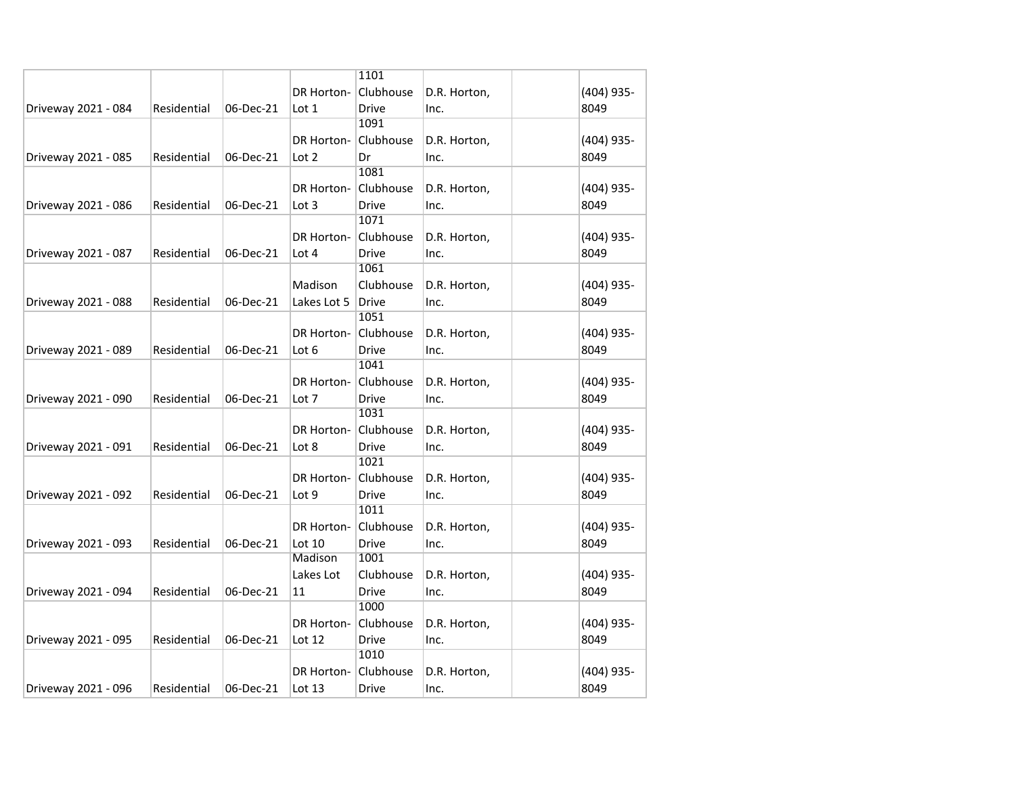|                     |             |           |                   | 1101         |              |            |
|---------------------|-------------|-----------|-------------------|--------------|--------------|------------|
|                     |             |           | <b>DR Horton-</b> | Clubhouse    | D.R. Horton, | (404) 935- |
| Driveway 2021 - 084 | Residential | 06-Dec-21 | Lot 1             | <b>Drive</b> | Inc.         | 8049       |
|                     |             |           |                   | 1091         |              |            |
|                     |             |           | <b>DR Horton-</b> | Clubhouse    | D.R. Horton, | (404) 935- |
| Driveway 2021 - 085 | Residential | 06-Dec-21 | Lot 2             | Dr           | Inc.         | 8049       |
|                     |             |           |                   | 1081         |              |            |
|                     |             |           | DR Horton-        | Clubhouse    | D.R. Horton, | (404) 935- |
| Driveway 2021 - 086 | Residential | 06-Dec-21 | Lot 3             | <b>Drive</b> | Inc.         | 8049       |
|                     |             |           |                   | 1071         |              |            |
|                     |             |           | <b>DR Horton-</b> | Clubhouse    | D.R. Horton, | (404) 935- |
| Driveway 2021 - 087 | Residential | 06-Dec-21 | Lot 4             | <b>Drive</b> | Inc.         | 8049       |
|                     |             |           |                   | 1061         |              |            |
|                     |             |           | Madison           | Clubhouse    | D.R. Horton, | (404) 935- |
| Driveway 2021 - 088 | Residential | 06-Dec-21 | Lakes Lot 5       | <b>Drive</b> | Inc.         | 8049       |
|                     |             |           |                   | 1051         |              |            |
|                     |             |           | <b>DR Horton-</b> | Clubhouse    | D.R. Horton, | (404) 935- |
| Driveway 2021 - 089 | Residential | 06-Dec-21 | Lot 6             | Drive        | Inc.         | 8049       |
|                     |             |           |                   | 1041         |              |            |
|                     |             |           | DR Horton-        | Clubhouse    | D.R. Horton, | (404) 935- |
| Driveway 2021 - 090 | Residential | 06-Dec-21 | Lot 7             | <b>Drive</b> | Inc.         | 8049       |
|                     |             |           |                   | 1031         |              |            |
|                     |             |           | <b>DR Horton-</b> | Clubhouse    | D.R. Horton, | (404) 935- |
| Driveway 2021 - 091 | Residential | 06-Dec-21 | Lot 8             | Drive        | Inc.         | 8049       |
|                     |             |           |                   | 1021         |              |            |
|                     |             |           | DR Horton-        | Clubhouse    | D.R. Horton, | (404) 935- |
| Driveway 2021 - 092 | Residential | 06-Dec-21 | Lot 9             | <b>Drive</b> | Inc.         | 8049       |
|                     |             |           |                   | 1011         |              |            |
|                     |             |           | <b>DR Horton-</b> | Clubhouse    | D.R. Horton, | (404) 935- |
| Driveway 2021 - 093 | Residential | 06-Dec-21 | Lot 10            | Drive        | Inc.         | 8049       |
|                     |             |           | Madison           | 1001         |              |            |
|                     |             |           | Lakes Lot         | Clubhouse    | D.R. Horton, | (404) 935- |
| Driveway 2021 - 094 | Residential | 06-Dec-21 | 11                | <b>Drive</b> | Inc.         | 8049       |
|                     |             |           |                   | 1000         |              |            |
|                     |             |           | <b>DR Horton-</b> | Clubhouse    | D.R. Horton, | (404) 935- |
| Driveway 2021 - 095 | Residential | 06-Dec-21 | Lot 12            | Drive        | Inc.         | 8049       |
|                     |             |           |                   | 1010         |              |            |
|                     |             |           | DR Horton-        | Clubhouse    | D.R. Horton, | (404) 935- |
| Driveway 2021 - 096 | Residential | 06-Dec-21 | Lot 13            | Drive        | Inc.         | 8049       |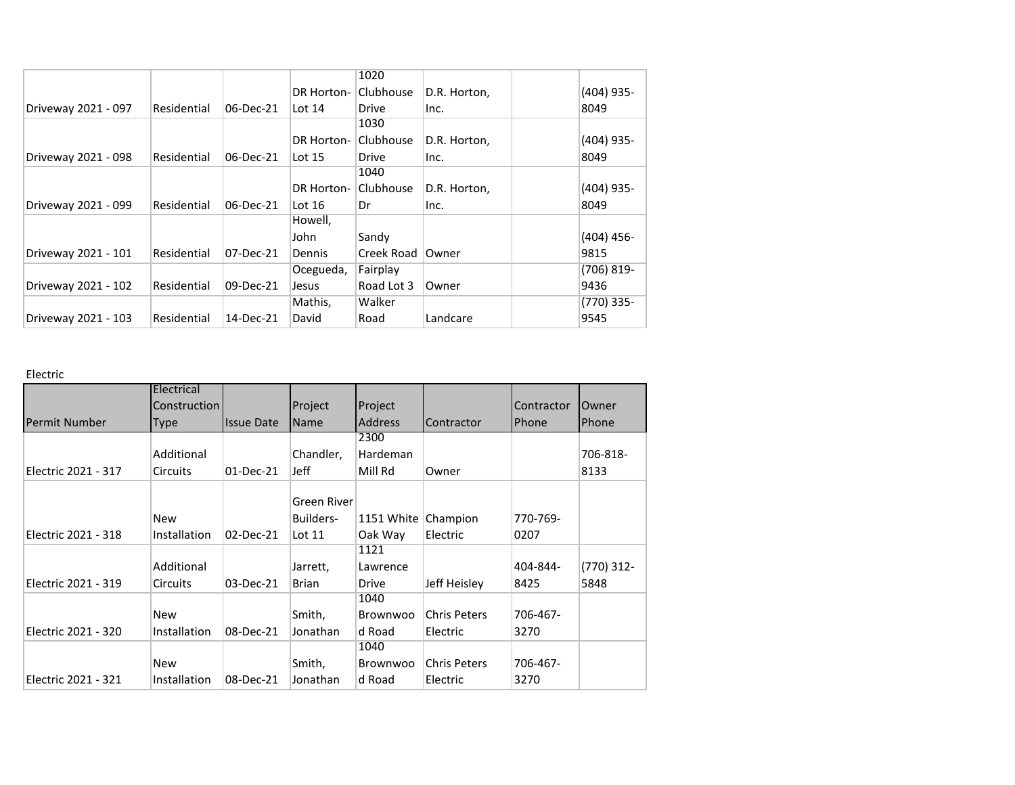|                     |             |           |            | 1020         |              |               |
|---------------------|-------------|-----------|------------|--------------|--------------|---------------|
|                     |             |           | DR Horton- | Clubhouse    | D.R. Horton, | $(404)$ 935-  |
| Driveway 2021 - 097 | Residential | 06-Dec-21 | Lot $14$   | Drive        | Inc.         | 8049          |
|                     |             |           |            | 1030         |              |               |
|                     |             |           | DR Horton- | Clubhouse    | D.R. Horton, | $(404)$ 935-  |
| Driveway 2021 - 098 | Residential | 06-Dec-21 | Lot $15$   | Drive        | Inc.         | 8049          |
|                     |             |           |            | 1040         |              |               |
|                     |             |           | DR Horton- | Clubhouse    | D.R. Horton, | $(404)$ 935-  |
| Driveway 2021 - 099 | Residential | 06-Dec-21 | Lot $16$   | Dr           | Inc.         | 8049          |
|                     |             |           | Howell,    |              |              |               |
|                     |             |           | John       | Sandy        |              | $(404)$ 456-  |
| Driveway 2021 - 101 | Residential | 07-Dec-21 | Dennis     | Creek Road I | Owner        | 9815          |
|                     |             |           | Ocegueda,  | Fairplay     |              | $(706) 819 -$ |
| Driveway 2021 - 102 | Residential | 09-Dec-21 | Jesus      | Road Lot 3   | Owner        | 9436          |
|                     |             |           | Mathis,    | Walker       |              | $(770)$ 335-  |
| Driveway 2021 - 103 | Residential | 14-Dec-21 | David      | Road         | Landcare     | 9545          |

# Electric

|                      | Electrical          |                   |             |                |                     |            |            |
|----------------------|---------------------|-------------------|-------------|----------------|---------------------|------------|------------|
|                      | <b>Construction</b> |                   | Project     | Project        |                     | Contractor | Owner      |
| <b>Permit Number</b> | <b>Type</b>         | <b>Issue Date</b> | <b>Name</b> | <b>Address</b> | Contractor          | Phone      | Phone      |
|                      |                     |                   |             | 2300           |                     |            |            |
|                      | Additional          |                   | Chandler,   | Hardeman       |                     |            | 706-818-   |
| Electric 2021 - 317  | <b>Circuits</b>     | 01-Dec-21         | Jeff        | Mill Rd        | Owner               |            | 8133       |
|                      |                     |                   | Green River |                |                     |            |            |
|                      |                     |                   |             |                |                     |            |            |
|                      | <b>New</b>          |                   | Builders-   | 1151 White     | Champion            | 770-769-   |            |
| Electric 2021 - 318  | Installation        | 02-Dec-21         | Lot $11$    | Oak Way        | Electric            | 0207       |            |
|                      |                     |                   |             | 1121           |                     |            |            |
|                      | Additional          |                   | Jarrett,    | Lawrence       |                     | 404-844-   | (770) 312- |
| Electric 2021 - 319  | <b>Circuits</b>     | 03-Dec-21         | Brian       | Drive          | Jeff Heisley        | 8425       | 5848       |
|                      |                     |                   |             | 1040           |                     |            |            |
|                      | <b>New</b>          |                   | Smith,      | Brownwoo       | <b>Chris Peters</b> | 706-467-   |            |
| Electric 2021 - 320  | Installation        | 08-Dec-21         | Jonathan    | d Road         | Electric            | 3270       |            |
|                      |                     |                   |             | 1040           |                     |            |            |
|                      | <b>New</b>          |                   | Smith,      | Brownwoo       | <b>Chris Peters</b> | 706-467-   |            |
| Electric 2021 - 321  | Installation        | 08-Dec-21         | Jonathan    | d Road         | Electric            | 3270       |            |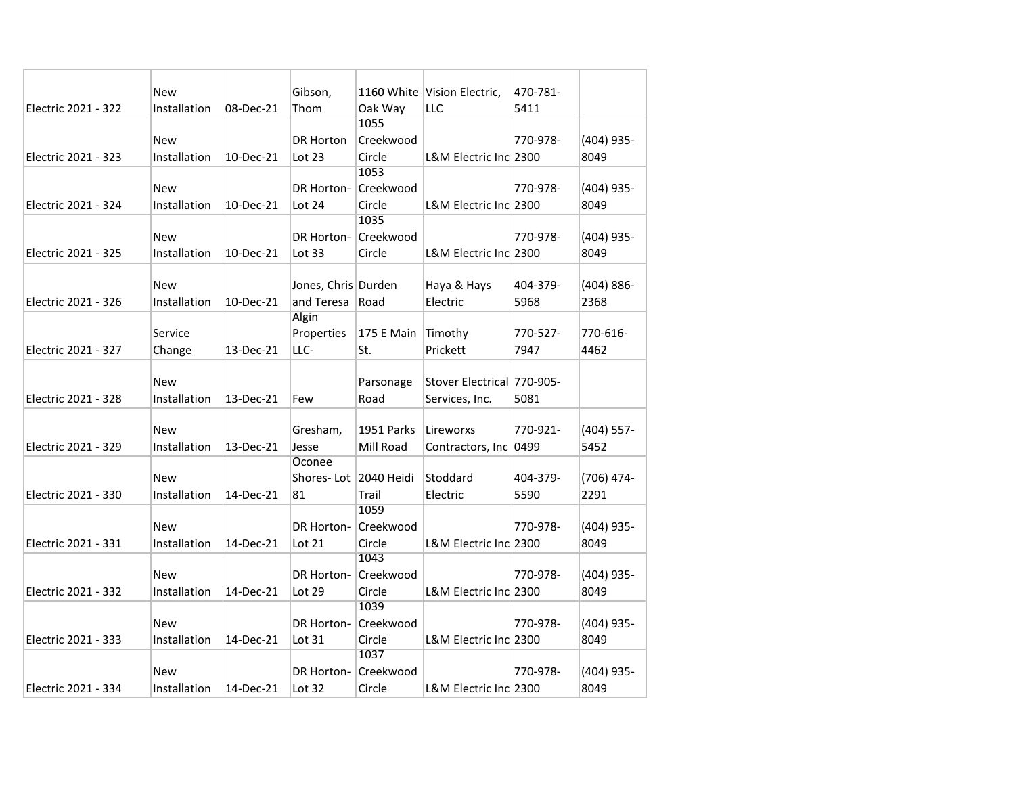|                     | <b>New</b>   |           | Gibson,               |                   | 1160 White Vision Electric, | 470-781- |               |
|---------------------|--------------|-----------|-----------------------|-------------------|-----------------------------|----------|---------------|
| Electric 2021 - 322 | Installation | 08-Dec-21 | Thom                  | Oak Way           | LLC                         | 5411     |               |
|                     |              |           |                       | 1055              |                             |          |               |
|                     | New          |           | <b>DR Horton</b>      | Creekwood         |                             | 770-978- | (404) 935-    |
| Electric 2021 - 323 | Installation | 10-Dec-21 | Lot 23                | Circle            | L&M Electric Inc 2300       |          | 8049          |
|                     |              |           |                       | 1053              |                             |          |               |
|                     | New          |           | DR Horton-            | Creekwood         |                             | 770-978- | (404) 935-    |
| Electric 2021 - 324 | Installation | 10-Dec-21 | Lot 24                | Circle            | L&M Electric Inc 2300       |          | 8049          |
|                     |              |           |                       | 1035              |                             |          |               |
|                     | New          |           | DR Horton-            | Creekwood         |                             | 770-978- | (404) 935-    |
| Electric 2021 - 325 | Installation | 10-Dec-21 | Lot $33$              | Circle            | L&M Electric Inc 2300       |          | 8049          |
|                     |              |           |                       |                   |                             |          |               |
|                     | <b>New</b>   |           | Jones, Chris Durden   |                   | Haya & Hays                 | 404-379- | $(404) 886 -$ |
| Electric 2021 - 326 | Installation | 10-Dec-21 | and Teresa            | Road              | Electric                    | 5968     | 2368          |
|                     |              |           | Algin                 |                   |                             |          |               |
|                     | Service      |           | Properties            | 175 E Main        | Timothy                     | 770-527- | 770-616-      |
| Electric 2021 - 327 | Change       | 13-Dec-21 | LLC-                  | St.               | Prickett                    | 7947     | 4462          |
|                     |              |           |                       |                   |                             |          |               |
|                     | <b>New</b>   |           |                       | Parsonage         | Stover Electrical 770-905-  |          |               |
| Electric 2021 - 328 | Installation | 13-Dec-21 | Few                   | Road              | Services, Inc.              | 5081     |               |
|                     |              |           |                       |                   |                             |          |               |
|                     | <b>New</b>   |           | Gresham,              | <b>1951 Parks</b> | Lireworxs                   | 770-921- | $(404)$ 557-  |
| Electric 2021 - 329 | Installation | 13-Dec-21 | Jesse                 | Mill Road         | Contractors, Inc 0499       |          | 5452          |
|                     |              |           | Oconee                |                   |                             |          |               |
|                     | <b>New</b>   |           | Shores-Lot 2040 Heidi |                   | Stoddard                    | 404-379- | (706) 474-    |
| Electric 2021 - 330 | Installation | 14-Dec-21 | 81                    | Trail             | Electric                    | 5590     | 2291          |
|                     |              |           |                       | 1059              |                             |          |               |
|                     | <b>New</b>   |           | DR Horton-            | Creekwood         |                             | 770-978- | (404) 935-    |
| Electric 2021 - 331 | Installation | 14-Dec-21 | Lot 21                | Circle            | L&M Electric Inc 2300       |          | 8049          |
|                     |              |           |                       | 1043              |                             |          |               |
|                     | New          |           | DR Horton-            | Creekwood         |                             | 770-978- | (404) 935-    |
| Electric 2021 - 332 | Installation | 14-Dec-21 | Lot 29                | Circle            | L&M Electric Inc 2300       |          | 8049          |
|                     |              |           |                       | 1039              |                             |          |               |
|                     | New          |           | DR Horton-            | Creekwood         |                             | 770-978- | (404) 935-    |
| Electric 2021 - 333 | Installation | 14-Dec-21 | Lot 31                | Circle            | L&M Electric Inc 2300       |          | 8049          |
|                     |              |           |                       | 1037              |                             |          |               |
|                     | New          |           | DR Horton-            | Creekwood         |                             | 770-978- | (404) 935-    |
| Electric 2021 - 334 | Installation | 14-Dec-21 | Lot 32                | Circle            | L&M Electric Inc 2300       |          | 8049          |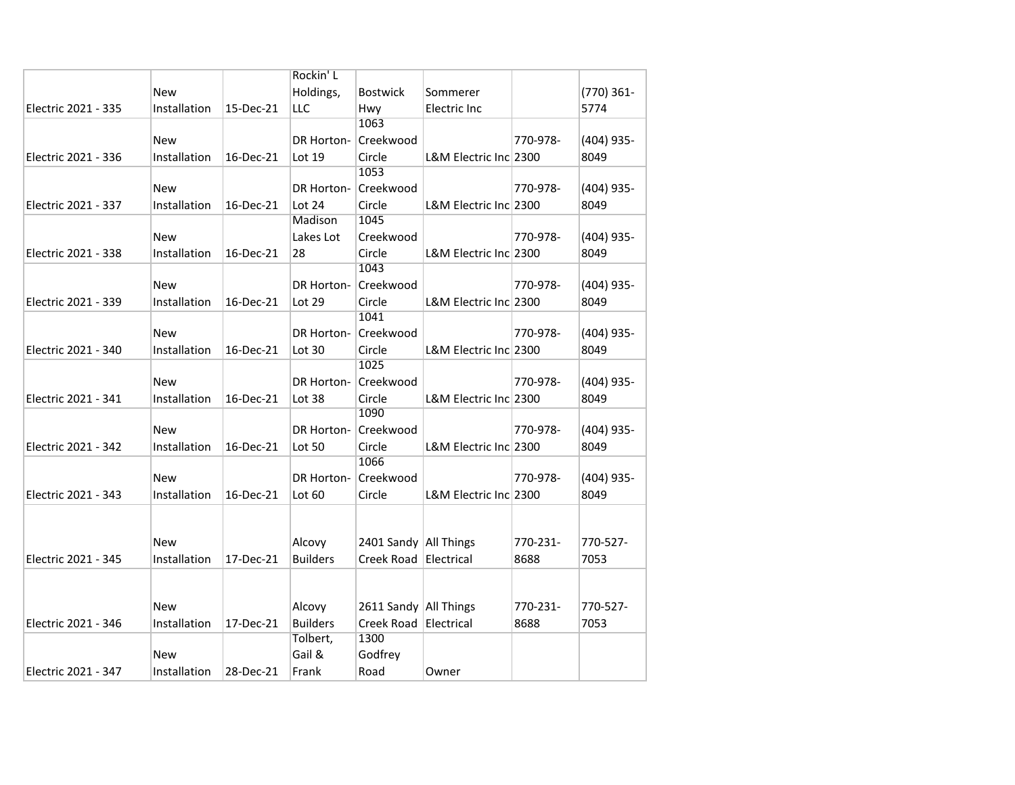|                     |              |           | Rockin' L                 |                         |                       |          |              |
|---------------------|--------------|-----------|---------------------------|-------------------------|-----------------------|----------|--------------|
|                     | <b>New</b>   |           | Holdings,                 | Bostwick                | Sommerer              |          | (770) 361-   |
| Electric 2021 - 335 | Installation | 15-Dec-21 | <b>LLC</b>                | Hwy                     | Electric Inc          |          | 5774         |
|                     |              |           |                           | 1063                    |                       |          |              |
|                     | <b>New</b>   |           | DR Horton-                | Creekwood               |                       | 770-978- | (404) 935-   |
| Electric 2021 - 336 | Installation | 16-Dec-21 | Lot 19                    | Circle                  | L&M Electric Inc 2300 |          | 8049         |
|                     |              |           |                           | 1053                    |                       |          |              |
|                     | <b>New</b>   |           | DR Horton-                | Creekwood               |                       | 770-978- | (404) 935-   |
| Electric 2021 - 337 | Installation | 16-Dec-21 | Lot 24                    | Circle                  | L&M Electric Inc 2300 |          | 8049         |
|                     |              |           | Madison                   | 1045                    |                       |          |              |
|                     | <b>New</b>   |           | Lakes Lot                 | Creekwood               |                       | 770-978- | (404) 935-   |
| Electric 2021 - 338 | Installation | 16-Dec-21 | 28                        | Circle                  | L&M Electric Inc 2300 |          | 8049         |
|                     |              |           |                           | 1043                    |                       |          |              |
|                     | <b>New</b>   |           | DR Horton-                | Creekwood               |                       | 770-978- | (404) 935-   |
| Electric 2021 - 339 | Installation | 16-Dec-21 | Lot 29                    | Circle                  | L&M Electric Inc 2300 |          | 8049         |
|                     |              |           |                           | 1041                    |                       |          |              |
|                     | <b>New</b>   |           | DR Horton-                | Creekwood               |                       | 770-978- | (404) 935-   |
| Electric 2021 - 340 | Installation | 16-Dec-21 | Lot 30                    | Circle                  | L&M Electric Inc 2300 |          | 8049         |
|                     |              |           |                           | 1025                    |                       |          |              |
|                     | New          |           | DR Horton-                | Creekwood               |                       | 770-978- | (404) 935-   |
| Electric 2021 - 341 | Installation | 16-Dec-21 | Lot 38                    | Circle                  | L&M Electric Inc 2300 |          | 8049         |
|                     |              |           |                           | 1090                    |                       |          |              |
|                     | New          |           |                           | DR Horton- Creekwood    |                       | 770-978- | (404) 935-   |
| Electric 2021 - 342 | Installation | 16-Dec-21 | Lot 50                    | Circle                  | L&M Electric Inc 2300 |          | 8049         |
|                     |              |           |                           | 1066                    |                       |          |              |
|                     | <b>New</b>   |           | DR Horton-                | Creekwood               |                       | 770-978- | $(404)$ 935- |
| Electric 2021 - 343 | Installation | 16-Dec-21 | Lot 60                    | Circle                  | L&M Electric Inc 2300 |          | 8049         |
|                     |              |           |                           |                         |                       |          |              |
|                     |              |           |                           |                         |                       |          |              |
|                     | New          |           | Alcovy                    | 2401 Sandy All Things   |                       | 770-231- | 770-527-     |
| Electric 2021 - 345 | Installation | 17-Dec-21 | <b>Builders</b>           | Creek Road              | Electrical            | 8688     | 7053         |
|                     |              |           |                           |                         |                       |          |              |
|                     |              |           |                           |                         |                       |          |              |
|                     | <b>New</b>   | 17-Dec-21 | Alcovy<br><b>Builders</b> | 2611 Sandy   All Things |                       | 770-231- | 770-527-     |
| Electric 2021 - 346 | Installation |           | Tolbert,                  | Creek Road<br>1300      | Electrical            | 8688     | 7053         |
|                     | <b>New</b>   |           | Gail &                    | Godfrey                 |                       |          |              |
| Electric 2021 - 347 | Installation | 28-Dec-21 | Frank                     | Road                    |                       |          |              |
|                     |              |           |                           |                         | Owner                 |          |              |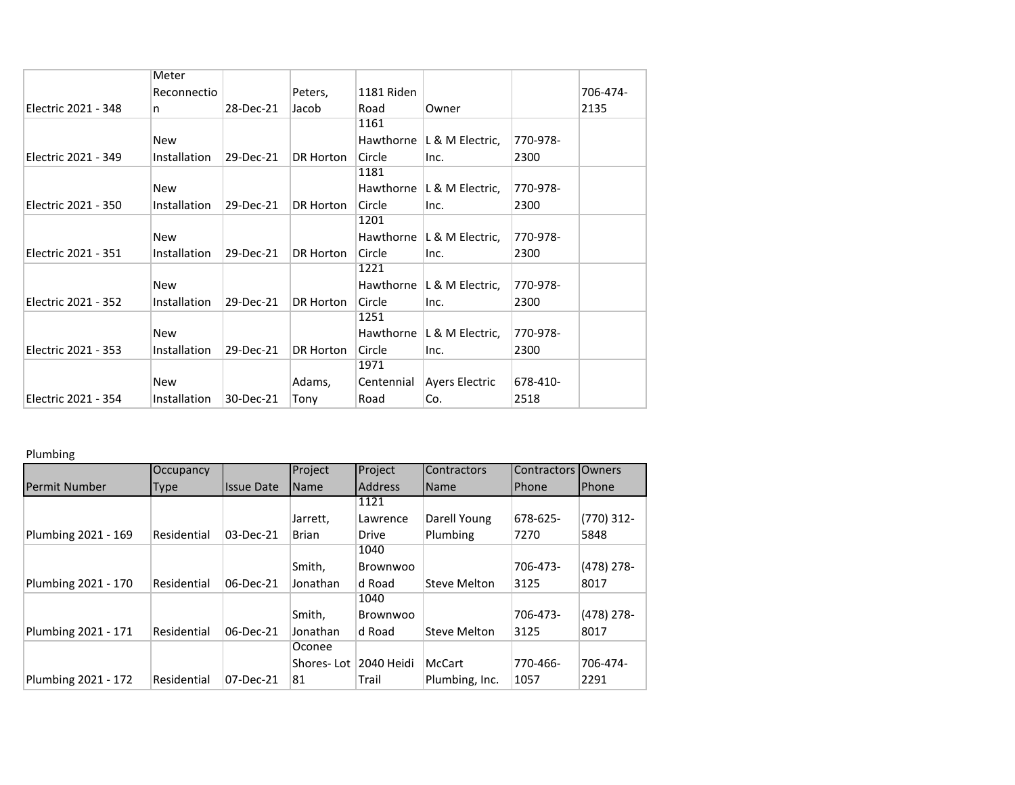|                     | Meter        |           |           |            |                 |          |          |
|---------------------|--------------|-----------|-----------|------------|-----------------|----------|----------|
|                     | Reconnectio  |           | Peters,   | 1181 Riden |                 |          | 706-474- |
| Electric 2021 - 348 | n            | 28-Dec-21 | Jacob     | Road       | Owner           |          | 2135     |
|                     |              |           |           | 1161       |                 |          |          |
|                     | New          |           |           | Hawthorne  | L & M Electric, | 770-978- |          |
| Electric 2021 - 349 | Installation | 29-Dec-21 | DR Horton | Circle     | Inc.            | 2300     |          |
|                     |              |           |           | 1181       |                 |          |          |
|                     | New          |           |           | Hawthorne  | L & M Electric, | 770-978- |          |
| Electric 2021 - 350 | Installation | 29-Dec-21 | DR Horton | Circle     | Inc.            | 2300     |          |
|                     |              |           |           | 1201       |                 |          |          |
|                     | New          |           |           | Hawthorne  | L & M Electric, | 770-978- |          |
| Electric 2021 - 351 | Installation | 29-Dec-21 | DR Horton | Circle     | Inc.            | 2300     |          |
|                     |              |           |           | 1221       |                 |          |          |
|                     | New          |           |           | Hawthorne  | L & M Electric, | 770-978- |          |
| Electric 2021 - 352 | Installation | 29-Dec-21 | DR Horton | Circle     | Inc.            | 2300     |          |
|                     |              |           |           | 1251       |                 |          |          |
|                     | New          |           |           | Hawthorne  | L & M Electric, | 770-978- |          |
| Electric 2021 - 353 | Installation | 29-Dec-21 | DR Horton | Circle     | Inc.            | 2300     |          |
|                     |              |           |           | 1971       |                 |          |          |
|                     | New          |           | Adams,    | Centennial | Ayers Electric  | 678-410- |          |
| Electric 2021 - 354 | Installation | 30-Dec-21 | Tonv      | Road       | Co.             | 2518     |          |

### Plumbing

|                      | Occupancy   |                   | Project      | Project        | Contractors    | Contractors IOwners |              |
|----------------------|-------------|-------------------|--------------|----------------|----------------|---------------------|--------------|
| <b>Permit Number</b> | Type        | <b>Issue Date</b> | <b>Name</b>  | <b>Address</b> | <b>Name</b>    | Phone               | <b>Phone</b> |
|                      |             |                   |              | 1121           |                |                     |              |
|                      |             |                   | Jarrett,     | Lawrence       | Darell Young   | 678-625-            | $(770)$ 312- |
| Plumbing 2021 - 169  | Residential | 03-Dec-21         | <b>Brian</b> | <b>Drive</b>   | Plumbing       | 7270                | 5848         |
|                      |             |                   |              | 1040           |                |                     |              |
|                      |             |                   | Smith,       | Brownwoo       |                | 706-473-            | $(478)$ 278- |
| Plumbing 2021 - 170  | Residential | 06-Dec-21         | Jonathan     | d Road         | Steve Melton   | 3125                | 8017         |
|                      |             |                   |              | 1040           |                |                     |              |
|                      |             |                   | Smith,       | Brownwoo       |                | 706-473-            | $(478)$ 278- |
| Plumbing 2021 - 171  | Residential | 06-Dec-21         | Jonathan     | ld Road        | Steve Melton   | 3125                | 8017         |
|                      |             |                   | Oconee       |                |                |                     |              |
|                      |             |                   | Shores-Lot   | 2040 Heidi     | <b>McCart</b>  | 770-466-            | 706-474-     |
| Plumbing 2021 - 172  | Residential | 07-Dec-21         | 81           | Trail          | Plumbing, Inc. | 1057                | 2291         |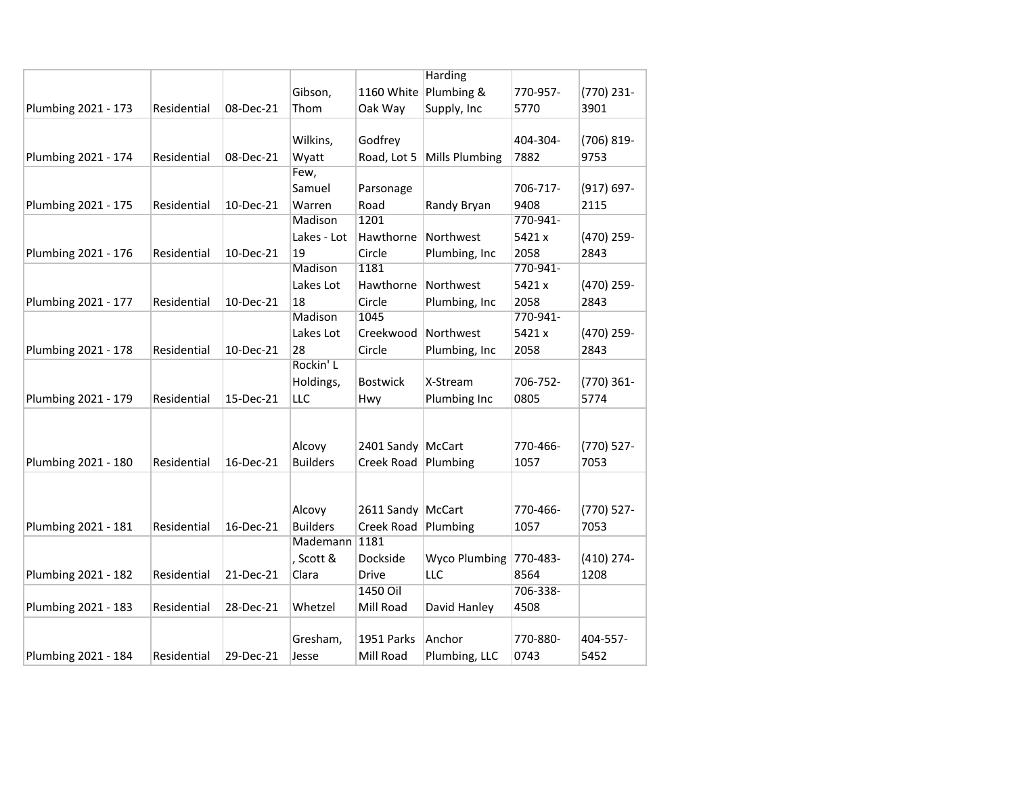|                     |             |           |                 |                     | Harding               |          |               |
|---------------------|-------------|-----------|-----------------|---------------------|-----------------------|----------|---------------|
|                     |             |           | Gibson,         |                     | 1160 White Plumbing & | 770-957- | (770) 231-    |
| Plumbing 2021 - 173 | Residential | 08-Dec-21 | Thom            | Oak Way             | Supply, Inc           | 5770     | 3901          |
|                     |             |           |                 |                     |                       |          |               |
|                     |             |           | Wilkins,        | Godfrey             |                       | 404-304- | (706) 819-    |
| Plumbing 2021 - 174 | Residential | 08-Dec-21 | Wyatt           | Road, Lot 5         | Mills Plumbing        | 7882     | 9753          |
|                     |             |           | Few,            |                     |                       |          |               |
|                     |             |           | Samuel          | Parsonage           |                       | 706-717- | $(917) 697 -$ |
| Plumbing 2021 - 175 | Residential | 10-Dec-21 | Warren          | Road                | Randy Bryan           | 9408     | 2115          |
|                     |             |           | Madison         | 1201                |                       | 770-941- |               |
|                     |             |           | Lakes - Lot     | Hawthorne           | Northwest             | 5421 x   | (470) 259-    |
| Plumbing 2021 - 176 | Residential | 10-Dec-21 | 19              | Circle              | Plumbing, Inc         | 2058     | 2843          |
|                     |             |           | Madison         | 1181                |                       | 770-941- |               |
|                     |             |           | Lakes Lot       | Hawthorne           | Northwest             | 5421 x   | (470) 259-    |
| Plumbing 2021 - 177 | Residential | 10-Dec-21 | 18              | Circle              | Plumbing, Inc         | 2058     | 2843          |
|                     |             |           | Madison         | 1045                |                       | 770-941- |               |
|                     |             |           | Lakes Lot       | Creekwood           | Northwest             | 5421 x   | (470) 259-    |
| Plumbing 2021 - 178 | Residential | 10-Dec-21 | 28              | Circle              | Plumbing, Inc         | 2058     | 2843          |
|                     |             |           | Rockin' L       |                     |                       |          |               |
|                     |             |           | Holdings,       | <b>Bostwick</b>     | X-Stream              | 706-752- | (770) 361-    |
| Plumbing 2021 - 179 | Residential | 15-Dec-21 | LLC             | Hwy                 | Plumbing Inc          | 0805     | 5774          |
|                     |             |           |                 |                     |                       |          |               |
|                     |             |           |                 |                     |                       |          |               |
|                     |             |           | Alcovy          | 2401 Sandy   McCart |                       | 770-466- | (770) 527-    |
| Plumbing 2021 - 180 | Residential | 16-Dec-21 | <b>Builders</b> | Creek Road Plumbing |                       | 1057     | 7053          |
|                     |             |           |                 |                     |                       |          |               |
|                     |             |           |                 |                     |                       |          |               |
|                     |             |           | Alcovy          | 2611 Sandy   McCart |                       | 770-466- | (770) 527-    |
| Plumbing 2021 - 181 | Residential | 16-Dec-21 | <b>Builders</b> | Creek Road Plumbing |                       | 1057     | 7053          |
|                     |             |           | Mademann        | 1181                |                       |          |               |
|                     |             |           | , Scott &       | Dockside            | Wyco Plumbing         | 770-483- | $(410)$ 274-  |
| Plumbing 2021 - 182 | Residential | 21-Dec-21 | Clara           | Drive               | LLC                   | 8564     | 1208          |
|                     |             |           |                 | 1450 Oil            |                       | 706-338- |               |
| Plumbing 2021 - 183 | Residential | 28-Dec-21 | Whetzel         | Mill Road           | David Hanley          | 4508     |               |
|                     |             |           |                 |                     |                       |          |               |
|                     |             |           | Gresham,        | 1951 Parks          | Anchor                | 770-880- | 404-557-      |
| Plumbing 2021 - 184 | Residential | 29-Dec-21 | Jesse           | Mill Road           | Plumbing, LLC         | 0743     | 5452          |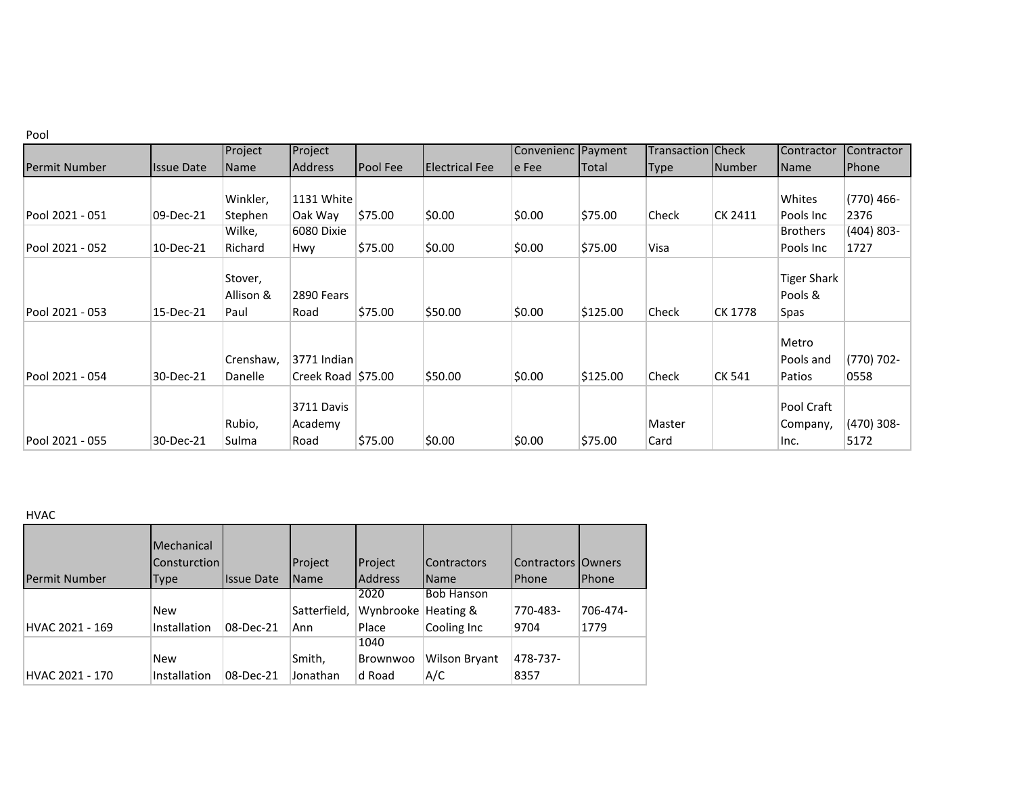|                      |                   | Project                      | Project                             |                 |                       | Convenienc Payment |          | <b>Transaction   Check</b> |         | Contractor                            | Contractor           |
|----------------------|-------------------|------------------------------|-------------------------------------|-----------------|-----------------------|--------------------|----------|----------------------------|---------|---------------------------------------|----------------------|
| <b>Permit Number</b> | <b>Issue Date</b> | Name                         | <b>Address</b>                      | <b>Pool Fee</b> | <b>Electrical Fee</b> | le Fee             | Total    | Type                       | Number  | Name                                  | Phone                |
|                      |                   |                              |                                     |                 |                       |                    |          |                            |         |                                       |                      |
|                      |                   | Winkler,                     | 1131 White                          |                 |                       |                    |          |                            |         | Whites                                | $(770)$ 466-         |
| Pool 2021 - 051      | 09-Dec-21         | Stephen                      | Oak Way                             | \$75.00         | \$0.00                | \$0.00             | \$75.00  | Check                      | CK 2411 | Pools Inc                             | 2376                 |
|                      |                   | Wilke,                       | 6080 Dixie                          |                 |                       |                    |          |                            |         | <b>Brothers</b>                       | (404) 803-           |
| Pool 2021 - 052      | 10-Dec-21         | Richard                      | Hwy.                                | \$75.00         | \$0.00                | \$0.00             | \$75.00  | Visa                       |         | Pools Inc                             | 1727                 |
| Pool 2021 - 053      | 15-Dec-21         | Stover,<br>Allison &<br>Paul | 2890 Fears<br>Road                  | \$75.00         | \$50.00               | \$0.00             | \$125.00 | Check                      | CK 1778 | <b>Tiger Shark</b><br>Pools &<br>Spas |                      |
| Pool 2021 - 054      | 30-Dec-21         | Crenshaw,<br>Danelle         | 3771 Indian<br>Creek Road $ $75.00$ |                 | \$50.00               | \$0.00             | \$125.00 | Check                      | CK 541  | Metro<br>Pools and<br>Patios          | (770) 702-<br>0558   |
| Pool 2021 - 055      | 30-Dec-21         | Rubio,<br>Sulma              | 3711 Davis<br>Academy<br>Road       | \$75.00         | \$0.00                | \$0.00             | \$75.00  | Master<br>Card             |         | Pool Craft<br>Company,<br>Inc.        | $(470)$ 308-<br>5172 |

### HVAC

| <b>Permit Number</b> | Mechanical<br><b>Consturction</b><br><b>Type</b> | <b>Issue Date</b> | Project<br>Name | Project<br><b>Address</b> | Contractors<br>Name | <b>IContractors IOwners</b><br><b>Phone</b> | <b>IPhone</b> |
|----------------------|--------------------------------------------------|-------------------|-----------------|---------------------------|---------------------|---------------------------------------------|---------------|
|                      |                                                  |                   |                 | 2020                      | <b>Bob Hanson</b>   |                                             |               |
|                      | <b>New</b>                                       |                   | Satterfield,    | Wynbrooke                 | Heating &           | 770-483-                                    | 706-474-      |
| HVAC 2021 - 169      | Installation                                     | 08-Dec-21         | Ann             | Place                     | Cooling Inc         | 9704                                        | 1779          |
|                      |                                                  |                   |                 | 1040                      |                     |                                             |               |
|                      | <b>New</b>                                       |                   | Smith,          | Brownwoo                  | Wilson Bryant       | 478-737-                                    |               |
| HVAC 2021 - 170      | Installation                                     | 08-Dec-21         | Jonathan        | d Road                    | A/C                 | 8357                                        |               |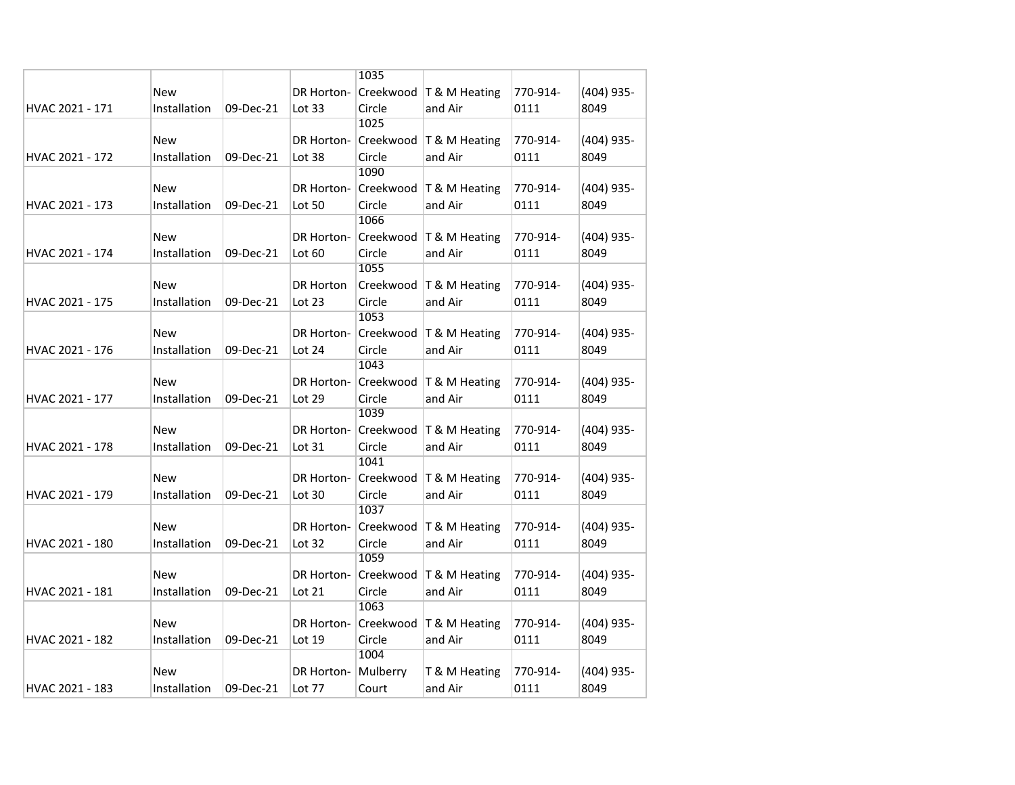|                 |              |           |            | 1035     |                           |          |              |
|-----------------|--------------|-----------|------------|----------|---------------------------|----------|--------------|
|                 | New          |           | DR Horton- |          | Creekwood   T & M Heating | 770-914- | $(404)$ 935- |
| HVAC 2021 - 171 | Installation | 09-Dec-21 | Lot $33$   | Circle   | and Air                   | 0111     | 8049         |
|                 |              |           |            | 1025     |                           |          |              |
|                 | New          |           | DR Horton- |          | Creekwood   T & M Heating | 770-914- | (404) 935-   |
| HVAC 2021 - 172 | Installation | 09-Dec-21 | Lot 38     | Circle   | and Air                   | 0111     | 8049         |
|                 |              |           |            | 1090     |                           |          |              |
|                 | New          |           | DR Horton- |          | Creekwood   T & M Heating | 770-914- | (404) 935-   |
| HVAC 2021 - 173 | Installation | 09-Dec-21 | Lot 50     | Circle   | and Air                   | 0111     | 8049         |
|                 |              |           |            | 1066     |                           |          |              |
|                 | New          |           | DR Horton- |          | Creekwood   T & M Heating | 770-914- | $(404)$ 935- |
| HVAC 2021 - 174 | Installation | 09-Dec-21 | Lot $60$   | Circle   | and Air                   | 0111     | 8049         |
|                 |              |           |            | 1055     |                           |          |              |
|                 | New          |           | DR Horton  |          | Creekwood   T & M Heating | 770-914- | $(404)$ 935- |
| HVAC 2021 - 175 | Installation | 09-Dec-21 | Lot 23     | Circle   | and Air                   | 0111     | 8049         |
|                 |              |           |            | 1053     |                           |          |              |
|                 | New          |           | DR Horton- |          | Creekwood   T & M Heating | 770-914- | $(404)$ 935- |
| HVAC 2021 - 176 | Installation | 09-Dec-21 | Lot 24     | Circle   | and Air                   | 0111     | 8049         |
|                 |              |           |            | 1043     |                           |          |              |
|                 | New          |           | DR Horton- |          | Creekwood   T & M Heating | 770-914- | $(404)$ 935- |
| HVAC 2021 - 177 | Installation | 09-Dec-21 | Lot 29     | Circle   | and Air                   | 0111     | 8049         |
|                 |              |           |            | 1039     |                           |          |              |
|                 | <b>New</b>   |           | DR Horton- |          | Creekwood   T & M Heating | 770-914- | $(404)$ 935- |
| HVAC 2021 - 178 | Installation | 09-Dec-21 | Lot 31     | Circle   | and Air                   | 0111     | 8049         |
|                 |              |           |            | 1041     |                           |          |              |
|                 | New          |           | DR Horton- |          | Creekwood   T & M Heating | 770-914- | $(404)$ 935- |
| HVAC 2021 - 179 | Installation | 09-Dec-21 | Lot 30     | Circle   | and Air                   | 0111     | 8049         |
|                 |              |           |            | 1037     |                           |          |              |
|                 | New          |           | DR Horton- |          | Creekwood   T & M Heating | 770-914- | $(404)$ 935- |
| HVAC 2021 - 180 | Installation | 09-Dec-21 | Lot $32$   | Circle   | and Air                   | 0111     | 8049         |
|                 |              |           |            | 1059     |                           |          |              |
|                 | New          |           | DR Horton- |          | Creekwood   T & M Heating | 770-914- | (404) 935-   |
| HVAC 2021 - 181 | Installation | 09-Dec-21 | Lot 21     | Circle   | and Air                   | 0111     | 8049         |
|                 |              |           |            | 1063     |                           |          |              |
|                 | New          |           | DR Horton- |          | Creekwood   T & M Heating | 770-914- | $(404)$ 935- |
| HVAC 2021 - 182 | Installation | 09-Dec-21 | Lot 19     | Circle   | and Air                   | 0111     | 8049         |
|                 |              |           |            | 1004     |                           |          |              |
|                 | <b>New</b>   |           | DR Horton- | Mulberry | T & M Heating             | 770-914- | $(404)$ 935- |
| HVAC 2021 - 183 | Installation | 09-Dec-21 | Lot 77     | Court    | and Air                   | 0111     | 8049         |